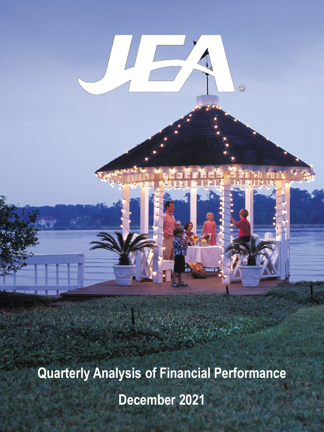**Quarterly Analysis of Financial Performance December 2021**

0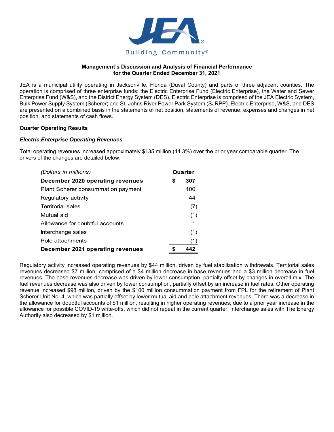

## **Management's Discussion and Analysis of Financial Performance for the Quarter Ended December 31, 2021**

JEA is a municipal utility operating in Jacksonville, Florida (Duval County) and parts of three adjacent counties. The operation is comprised of three enterprise funds: the Electric Enterprise Fund (Electric Enterprise), the Water and Sewer Enterprise Fund (W&S), and the District Energy System (DES). Electric Enterprise is comprised of the JEA Electric System, Bulk Power Supply System (Scherer) and St. Johns River Power Park System (SJRPP). Electric Enterprise, W&S, and DES are presented on a combined basis in the statements of net position, statements of revenue, expenses and changes in net position, and statements of cash flows.

### **Quarter Operating Results**

## *Electric Enterprise Operating Revenues*

Total operating revenues increased approximately \$135 million (44.3%) over the prior year comparable quarter. The drivers of the changes are detailed below.

| (Dollars in millions)                     | Quarter |     |
|-------------------------------------------|---------|-----|
| December 2020 operating revenues          | \$      | 307 |
| <b>Plant Scherer consummation payment</b> |         | 100 |
| Regulatory activity                       |         | 44  |
| Territorial sales                         |         | (7) |
| Mutual aid                                |         | (1) |
| Allowance for doubtful accounts           |         | 1   |
| Interchange sales                         |         | (1) |
| Pole attachments                          |         | (1) |
| December 2021 operating revenues          | S       | 442 |

Regulatory activity increased operating revenues by \$44 million, driven by fuel stabilization withdrawals. Territorial sales revenues decreased \$7 million, comprised of a \$4 million decrease in base revenues and a \$3 million decrease in fuel revenues. The base revenues decrease was driven by lower consumption, partially offset by changes in overall mix. The fuel revenues decrease was also driven by lower consumption, partially offset by an increase in fuel rates. Other operating revenue increased \$98 million, driven by the \$100 million consummation payment from FPL for the retirement of Plant Scherer Unit No. 4, which was partially offset by lower mutual aid and pole attachment revenues. There was a decrease in the allowance for doubtful accounts of \$1 million, resulting in higher operating revenues, due to a prior year increase in the allowance for possible COVID-19 write-offs, which did not repeat in the current quarter. Interchange sales with The Energy Authority also decreased by \$1 million.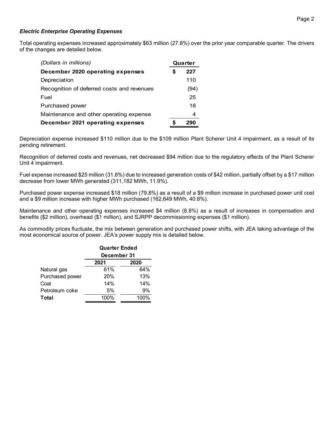# *Electric Enterprise Operating Expenses*

Total operating expenses increased approximately \$63 million (27.8%) over the prior year comparable quarter. The drivers of the changes are detailed below.

| (Dollars in millions)                      | Quarter |      |
|--------------------------------------------|---------|------|
| December 2020 operating expenses           | S       | 227  |
| Depreciation                               |         | 110  |
| Recognition of deferred costs and revenues |         | (94) |
| Fuel                                       |         | 25   |
| Purchased power                            |         | 18   |
| Maintenance and other operating expense    |         | 4    |
| December 2021 operating expenses           |         | 290  |

Depreciation expense increased \$110 million due to the \$109 million Plant Scherer Unit 4 impairment, as a result of its pending retirement.

Recognition of deferred costs and revenues, net decreased \$94 million due to the regulatory effects of the Plant Scherer Unit 4 impairment.

Fuel expense increased \$25 million (31.8%) due to increased generation costs of \$42 million, partially offset by a \$17 million decrease from lower MWh generated (311,182 MWh, 11.9%).

Purchased power expense increased \$18 million (79.8%) as a result of a \$9 million increase in purchased power unit cost and a \$9 million increase with higher MWh purchased (162,649 MWh, 40.8%).

Maintenance and other operating expenses increased \$4 million (8.8%) as a result of increases in compensation and benefits (\$2 million), overhead (\$1 million), and SJRPP decommissioning expenses (\$1 million).

As commodity prices fluctuate, the mix between generation and purchased power shifts, with JEA taking advantage of the most economical source of power. JEA's power supply mix is detailed below.

|                 | <b>Quarter Ended</b><br>December 31 |      |  |  |  |
|-----------------|-------------------------------------|------|--|--|--|
|                 | 2021<br>2020                        |      |  |  |  |
| Natural gas     | 61%                                 | 64%  |  |  |  |
| Purchased power | 20%                                 | 13%  |  |  |  |
| Coal            | 14%                                 | 14%  |  |  |  |
| Petroleum coke  | 5%                                  | 9%   |  |  |  |
| Total           | 100%                                | 100% |  |  |  |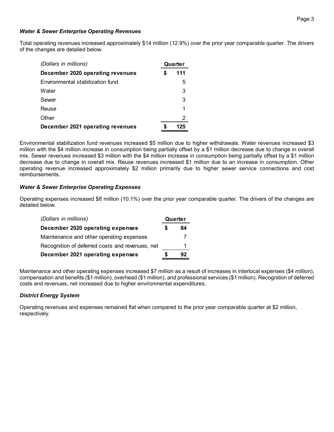### Page 3

### *Water & Sewer Enterprise Operating Revenues*

Total operating revenues increased approximately \$14 million (12.9%) over the prior year comparable quarter. The drivers of the changes are detailed below.

| (Dollars in millions)            | Quarter  |   |
|----------------------------------|----------|---|
| December 2020 operating revenues | 111<br>S |   |
| Environmental stabilization fund |          | 5 |
| Water                            |          | 3 |
| Sewer                            |          | 3 |
| Reuse                            |          | 1 |
| Other                            |          | 2 |
| December 2021 operating revenues | 125      |   |

Environmental stabilization fund revenues increased \$5 million due to higher withdrawals. Water revenues increased \$3 million with the \$4 million increase in consumption being partially offset by a \$1 million decrease due to change in overall mix. Sewer revenues increased \$3 million with the \$4 million increase in consumption being partially offset by a \$1 million decrease due to change in overall mix. Reuse revenues increased \$1 million due to an increase in consumption. Other operating revenue increased approximately \$2 million primarily due to higher sewer service connections and cost reimbursements.

### *Water & Sewer Enterprise Operating Expenses*

Operating expenses increased \$8 million (10.1%) over the prior year comparable quarter. The drivers of the changes are detailed below.

| (Dollars in millions)                           |   | Quarter |  |  |
|-------------------------------------------------|---|---------|--|--|
| December 2020 operating expenses                | S | 84      |  |  |
| Maintenance and other operating expenses        |   |         |  |  |
| Recognition of deferred costs and revenues, net |   |         |  |  |
| December 2021 operating expenses                |   | 92      |  |  |

Maintenance and other operating expenses increased \$7 million as a result of increases in interlocal expenses (\$4 million), compensation and benefits (\$1 million), overhead (\$1 million), and professional services (\$1 million). Recognition of deferred costs and revenues, net increased due to higher environmental expenditures.

### *District Energy System*

Operating revenues and expenses remained flat when compared to the prior year comparable quarter at \$2 million, respectively.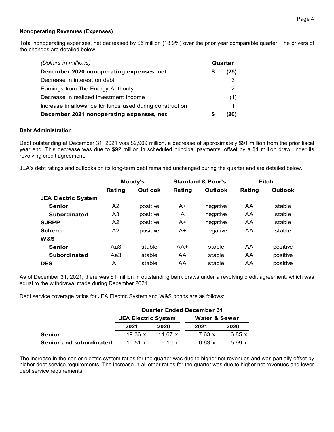### Page 4

### **Nonoperating Revenues (Expenses)**

Total nonoperating expenses, net decreased by \$5 million (18.9%) over the prior year comparable quarter. The drivers of the changes are detailed below.

| (Dollars in millions)                                    |    | Quarter |  |  |
|----------------------------------------------------------|----|---------|--|--|
| December 2020 nonoperating expenses, net                 | \$ | (25)    |  |  |
| Decrease in interest on debt                             |    | 3       |  |  |
| Earnings from The Energy Authority                       |    | 2       |  |  |
| Decrease in realized investment income                   |    | (1)     |  |  |
| Increase in allowance for funds used during construction |    | 1       |  |  |
| December 2021 nonoperating expenses, net                 |    |         |  |  |

### **Debt Administration**

Debt outstanding at December 31, 2021 was \$2,909 million, a decrease of approximately \$91 million from the prior fiscal year end. This decrease was due to \$92 million in scheduled principal payments, offset by a \$1 million draw under its revolving credit agreement.

JEA's debt ratings and outlooks on its long-term debt remained unchanged during the quarter and are detailed below.

|                            |        | Moody's  |        | <b>Standard &amp; Poor's</b> |        | <b>Fitch</b>   |
|----------------------------|--------|----------|--------|------------------------------|--------|----------------|
|                            | Rating | Outlook  | Rating | Outlook                      | Rating | <b>Outlook</b> |
| <b>JEA Electric System</b> |        |          |        |                              |        |                |
| <b>Senior</b>              | А2     | positive | $A+$   | negative                     | AA     | stable         |
| <b>Subordinated</b>        | A3     | positive | A      | negative                     | AA     | stable         |
| <b>SJRPP</b>               | A2     | positive | $A+$   | negative                     | AA     | stable         |
| <b>Scherer</b>             | A2     | positive | $A+$   | negative                     | AA     | stable         |
| W&S                        |        |          |        |                              |        |                |
| <b>Senior</b>              | Aa3    | stable   | $AA+$  | stable                       | AA     | positive       |
| <b>Subordinated</b>        | Aa3    | stable   | AA     | stable                       | AA     | positive       |
| <b>DES</b>                 | A1     | stable   | AA     | stable                       | AA     | positive       |

As of December 31, 2021, there was \$1 million in outstanding bank draws under a revolving credit agreement, which was equal to the withdrawal made during December 2021.

Debt service coverage ratios for JEA Electric System and W&S bonds are as follows:

|                         | <b>Quarter Ended December 31</b>                       |                |               |               |  |  |
|-------------------------|--------------------------------------------------------|----------------|---------------|---------------|--|--|
|                         | <b>JEA Electric System</b><br><b>Water &amp; Sewer</b> |                |               |               |  |  |
|                         | 2021                                                   | 2020           | 2021          | 2020          |  |  |
| <b>Senior</b>           | 19.36 x                                                | 11.67 $\times$ | $7.63 \times$ | 6.85 $\times$ |  |  |
| Senior and subordinated | 10.51 x                                                | $5.10 \times$  | $6.63 \times$ | 5.99x         |  |  |

The increase in the senior electric system ratios for the quarter was due to higher net revenues and was partially offset by higher debt service requirements. The increase in all other ratios for the quarter was due to higher net revenues and lower debt service requirements.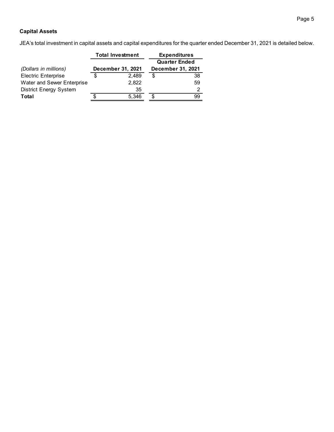# **Capital Assets**

JEA's total investment in capital assets and capital expenditures for the quarter ended December 31, 2021 is detailed below.

|                               | <b>Total Investment</b> | <b>Expenditures</b>  |                   |  |
|-------------------------------|-------------------------|----------------------|-------------------|--|
|                               |                         | <b>Quarter Ended</b> |                   |  |
| (Dollars in millions)         | December 31, 2021       |                      | December 31, 2021 |  |
| <b>Electric Enterprise</b>    | 2.489                   | S                    | 38                |  |
| Water and Sewer Enterprise    | 2,822                   |                      | 59                |  |
| <b>District Energy System</b> | 35                      |                      | 2                 |  |
| Total                         | 5,346                   | \$.                  | 99                |  |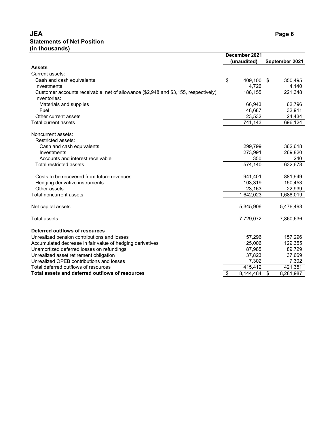# **JEA Page 6 Statements of Net Position (in thousands)**

|                                                                                                    | December 2021<br>(unaudited) |     | September 2021 |
|----------------------------------------------------------------------------------------------------|------------------------------|-----|----------------|
| <b>Assets</b>                                                                                      |                              |     |                |
| Current assets:                                                                                    |                              |     |                |
| Cash and cash equivalents                                                                          | \$<br>409,100                | -\$ | 350,495        |
| Investments                                                                                        | 4,726                        |     | 4,140          |
| Customer accounts receivable, net of allowance (\$2,948 and \$3,155, respectively)<br>Inventories: | 188,155                      |     | 221,348        |
| Materials and supplies                                                                             | 66,943                       |     | 62,796         |
| Fuel                                                                                               | 48,687                       |     | 32,911         |
| Other current assets                                                                               | 23,532                       |     | 24,434         |
| Total current assets                                                                               | 741,143                      |     | 696,124        |
| Noncurrent assets:                                                                                 |                              |     |                |
| Restricted assets:                                                                                 |                              |     |                |
| Cash and cash equivalents                                                                          | 299,799                      |     | 362,618        |
| Investments                                                                                        | 273,991                      |     | 269,820        |
| Accounts and interest receivable                                                                   | 350                          |     | 240            |
| Total restricted assets                                                                            | 574,140                      |     | 632,678        |
| Costs to be recovered from future revenues                                                         | 941,401                      |     | 881,949        |
| Hedging derivative instruments                                                                     | 103,319                      |     | 150,453        |
| Other assets                                                                                       | 23,163                       |     | 22,939         |
| <b>Total noncurrent assets</b>                                                                     | 1,642,023                    |     | 1,688,019      |
| Net capital assets                                                                                 | 5,345,906                    |     | 5,476,493      |
| <b>Total assets</b>                                                                                | 7,729,072                    |     | 7,860,636      |
| Deferred outflows of resources                                                                     |                              |     |                |
| Unrealized pension contributions and losses                                                        | 157,296                      |     | 157,296        |
| Accumulated decrease in fair value of hedging derivatives                                          | 125,006                      |     | 129,355        |
| Unamortized deferred losses on refundings                                                          | 87,985                       |     | 89,729         |
| Unrealized asset retirement obligation                                                             | 37,823                       |     | 37,669         |
| Unrealized OPEB contributions and losses                                                           | 7,302                        |     | 7,302          |
| Total deferred outflows of resources                                                               | 415,412                      |     | 421,351        |
| Total assets and deferred outflows of resources                                                    | \$<br>8.144.484              | \$  | 8,281,987      |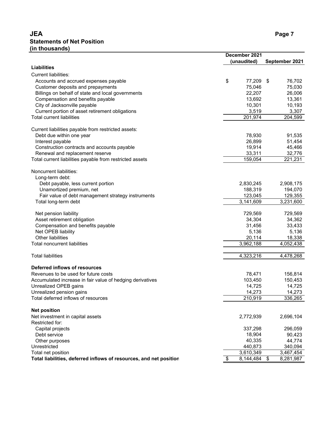# **JEA Page 7 Statements of Net Position (in thousands)**

|                                                                    | December 2021 |             |                         |                        |
|--------------------------------------------------------------------|---------------|-------------|-------------------------|------------------------|
|                                                                    |               | (unaudited) |                         | September 2021         |
| <b>Liabilities</b>                                                 |               |             |                         |                        |
| <b>Current liabilities:</b>                                        |               |             |                         |                        |
| Accounts and accrued expenses payable                              | \$            | 77,209      | - \$                    | 76,702                 |
| Customer deposits and prepayments                                  |               | 75,046      |                         | 75,030                 |
| Billings on behalf of state and local governments                  |               | 22,207      |                         | 26,006                 |
| Compensation and benefits payable                                  |               | 13,692      |                         | 13,361                 |
| City of Jacksonville payable                                       |               | 10,301      |                         | 10,193                 |
| Current portion of asset retirement obligations                    |               | 3,519       |                         | 3,307                  |
| <b>Total current liabilities</b>                                   |               | 201,974     |                         | 204,599                |
|                                                                    |               |             |                         |                        |
| Current liabilities payable from restricted assets:                |               |             |                         |                        |
| Debt due within one year                                           |               | 78,930      |                         | 91,535                 |
| Interest payable                                                   |               | 26,899      |                         | 51,454                 |
| Construction contracts and accounts payable                        |               | 19,914      |                         | 45,466                 |
| Renewal and replacement reserve                                    |               | 33,311      |                         | 32,776                 |
| Total current liabilities payable from restricted assets           |               | 159,054     |                         | 221,231                |
| Noncurrent liabilities:                                            |               |             |                         |                        |
| Long-term debt:                                                    |               |             |                         |                        |
| Debt payable, less current portion                                 |               | 2,830,245   |                         | 2,908,175              |
| Unamortized premium, net                                           |               | 188,319     |                         | 194,070                |
| Fair value of debt management strategy instruments                 |               | 123,045     |                         | 129,355                |
| Total long-term debt                                               |               | 3,141,609   |                         | 3,231,600              |
|                                                                    |               |             |                         |                        |
| Net pension liability                                              |               | 729,569     |                         | 729,569                |
| Asset retirement obligation                                        |               | 34,304      |                         | 34,362                 |
| Compensation and benefits payable                                  |               | 31,456      |                         | 33,433                 |
| Net OPEB liability                                                 |               | 5,136       |                         | 5,136                  |
| Other liabilities                                                  |               | 20,114      |                         | 18,338                 |
| <b>Total noncurrent liabilities</b>                                |               | 3,962,188   |                         | 4,052,438              |
|                                                                    |               |             |                         |                        |
| <b>Total liabilities</b>                                           |               | 4,323,216   |                         | 4,478,268              |
| Deferred inflows of resources                                      |               |             |                         |                        |
| Revenues to be used for future costs                               |               | 78,471      |                         | 156,814                |
| Accumulated increase in fair value of hedging derivatives          |               | 103,450     |                         | 150,453                |
| Unrealized OPEB gains                                              |               | 14,725      |                         | 14,725                 |
| Unrealized pension gains                                           |               | 14,273      |                         | 14,273                 |
| Total deferred inflows of resources                                |               | 210,919     |                         | 336,265                |
|                                                                    |               |             |                         |                        |
| <b>Net position</b>                                                |               |             |                         |                        |
| Net investment in capital assets                                   |               | 2,772,939   |                         | 2,696,104              |
| Restricted for:                                                    |               |             |                         |                        |
| Capital projects                                                   |               | 337,298     |                         | 296,059                |
| Debt service                                                       |               | 18,904      |                         | 90,423                 |
| Other purposes                                                     |               | 40,335      |                         | 44,774                 |
| Unrestricted<br>Total net position                                 |               | 440,873     |                         | 340,094                |
|                                                                    | \$            | 3,610,349   | $\sqrt[6]{\frac{1}{2}}$ | 3,467,454<br>8,281,987 |
| Total liabilities, deferred inflows of resources, and net position |               | 8,144,484   |                         |                        |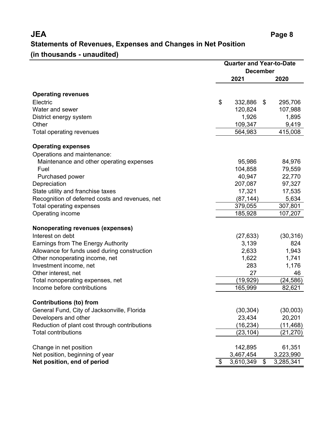# **JEA Page 8 Statements of Revenues, Expenses and Changes in Net Position**

# **(in thousands - unaudited)**

|                                                 | <b>Quarter and Year-to-Date</b> |      |           |  |
|-------------------------------------------------|---------------------------------|------|-----------|--|
|                                                 | <b>December</b>                 |      |           |  |
|                                                 | 2021                            | 2020 |           |  |
| <b>Operating revenues</b>                       |                                 |      |           |  |
| Electric                                        | \$<br>332,886                   | \$   | 295,706   |  |
| Water and sewer                                 | 120,824                         |      | 107,988   |  |
| District energy system                          | 1,926                           |      | 1,895     |  |
| Other                                           | 109,347                         |      | 9,419     |  |
| Total operating revenues                        | 564,983                         |      | 415,008   |  |
| <b>Operating expenses</b>                       |                                 |      |           |  |
| Operations and maintenance:                     |                                 |      |           |  |
| Maintenance and other operating expenses        | 95,986                          |      | 84,976    |  |
| Fuel                                            | 104,858                         |      | 79,559    |  |
| Purchased power                                 | 40,947                          |      | 22,770    |  |
| Depreciation                                    | 207,087                         |      | 97,327    |  |
| State utility and franchise taxes               | 17,321                          |      | 17,535    |  |
| Recognition of deferred costs and revenues, net | (87, 144)                       |      | 5,634     |  |
| <b>Total operating expenses</b>                 | 379,055                         |      | 307,801   |  |
| Operating income                                | 185,928                         |      | 107,207   |  |
| Nonoperating revenues (expenses)                |                                 |      |           |  |
| Interest on debt                                | (27, 633)                       |      | (30, 316) |  |
| Earnings from The Energy Authority              | 3,139                           |      | 824       |  |
| Allowance for funds used during construction    | 2,633                           |      | 1,943     |  |
| Other nonoperating income, net                  | 1,622                           |      | 1,741     |  |
| Investment income, net                          | 283                             |      | 1,176     |  |
| Other interest, net                             | 27                              |      | 46        |  |
| Total nonoperating expenses, net                | (19,929)                        |      | (24, 586) |  |
| Income before contributions                     | 165,999                         |      | 82,621    |  |
| <b>Contributions (to) from</b>                  |                                 |      |           |  |
| General Fund, City of Jacksonville, Florida     | (30, 304)                       |      | (30,003)  |  |
| Developers and other                            | 23,434                          |      | 20,201    |  |
| Reduction of plant cost through contributions   | (16,234)                        |      | (11,468)  |  |
| <b>Total contributions</b>                      | (23, 104)                       |      | (21,270)  |  |
| Change in net position                          | 142,895                         |      | 61,351    |  |
| Net position, beginning of year                 | 3,467,454                       |      | 3,223,990 |  |
| Net position, end of period                     | \$<br>3,610,349                 | \$   | 3,285,341 |  |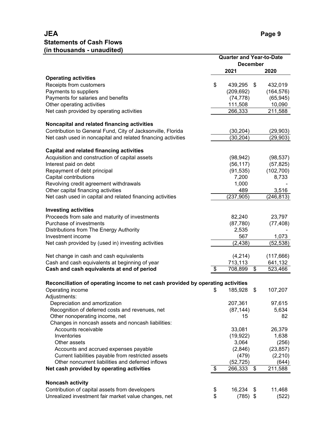|                                                                                 | <b>Quarter and Year-to-Date</b> |            |    |            |  |
|---------------------------------------------------------------------------------|---------------------------------|------------|----|------------|--|
|                                                                                 | <b>December</b>                 |            |    |            |  |
|                                                                                 |                                 | 2021       |    | 2020       |  |
| <b>Operating activities</b>                                                     |                                 |            |    |            |  |
| Receipts from customers                                                         | \$                              | 439,295    | \$ | 432,019    |  |
| Payments to suppliers                                                           |                                 | (209, 692) |    | (164, 576) |  |
| Payments for salaries and benefits                                              |                                 | (74, 778)  |    | (65, 945)  |  |
| Other operating activities                                                      |                                 | 111,508    |    | 10,090     |  |
| Net cash provided by operating activities                                       |                                 | 266,333    |    | 211,588    |  |
| Noncapital and related financing activities                                     |                                 |            |    |            |  |
| Contribution to General Fund, City of Jacksonville, Florida                     |                                 | (30,204)   |    | (29, 903)  |  |
| Net cash used in noncapital and related financing activities                    |                                 | (30,204)   |    | (29,903)   |  |
| <b>Capital and related financing activities</b>                                 |                                 |            |    |            |  |
| Acquisition and construction of capital assets                                  |                                 | (98, 942)  |    | (98, 537)  |  |
| Interest paid on debt                                                           |                                 | (56, 117)  |    | (57, 825)  |  |
| Repayment of debt principal                                                     |                                 | (91, 535)  |    | (102, 700) |  |
| Capital contributions                                                           |                                 | 7,200      |    | 8,733      |  |
| Revolving credit agreement withdrawals                                          |                                 | 1,000      |    |            |  |
| Other capital financing activities                                              |                                 | 489        |    | 3,516      |  |
| Net cash used in capital and related financing activities                       |                                 | (237, 905) |    | (246, 813) |  |
| <b>Investing activities</b>                                                     |                                 |            |    |            |  |
|                                                                                 |                                 |            |    |            |  |
| Proceeds from sale and maturity of investments                                  |                                 | 82,240     |    | 23,797     |  |
| Purchase of investments                                                         |                                 | (87, 780)  |    | (77, 408)  |  |
| Distributions from The Energy Authority                                         |                                 | 2,535      |    |            |  |
| Investment income                                                               |                                 | 567        |    | 1,073      |  |
| Net cash provided by (used in) investing activities                             |                                 | (2, 438)   |    | (52, 538)  |  |
| Net change in cash and cash equivalents                                         |                                 | (4,214)    |    | (117, 666) |  |
| Cash and cash equivalents at beginning of year                                  |                                 | 713,113    |    | 641,132    |  |
| Cash and cash equivalents at end of period                                      | \$                              | 708,899    | \$ | 523,466    |  |
|                                                                                 |                                 |            |    |            |  |
| Reconciliation of operating income to net cash provided by operating activities |                                 |            |    |            |  |
| Operating income<br>Adjustments:                                                | \$                              | 185,928    | \$ | 107,207    |  |
| Depreciation and amortization                                                   |                                 | 207,361    |    | 97,615     |  |
| Recognition of deferred costs and revenues, net                                 |                                 | (87, 144)  |    | 5,634      |  |
| Other nonoperating income, net                                                  |                                 | 15         |    | 82         |  |
| Changes in noncash assets and noncash liabilities:                              |                                 |            |    |            |  |
| Accounts receivable                                                             |                                 | 33,081     |    | 26,379     |  |
| Inventories                                                                     |                                 | (19, 922)  |    | 1,638      |  |
| Other assets                                                                    |                                 | 3,064      |    | (256)      |  |
| Accounts and accrued expenses payable                                           |                                 | (2,846)    |    | (23, 857)  |  |
| Current liabilities payable from restricted assets                              |                                 | (479)      |    | (2, 210)   |  |
| Other noncurrent liabilities and deferred inflows                               |                                 | (52, 725)  |    | (644)      |  |
| Net cash provided by operating activities                                       | \$                              | 266,333    | \$ | 211,588    |  |
|                                                                                 |                                 |            |    |            |  |
| <b>Noncash activity</b>                                                         |                                 |            |    |            |  |
| Contribution of capital assets from developers                                  | \$                              | 16,234     | \$ | 11,468     |  |
| Unrealized investment fair market value changes, net                            | \$                              | $(785)$ \$ |    | (522)      |  |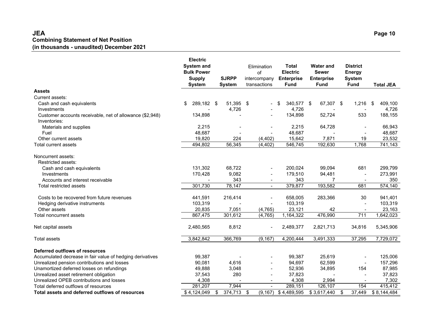#### **JEA Page 10 Combining Statement of Net Position (in thousands - unaudited) December 2021**

|                                                           | <b>Electric</b><br><b>System and</b><br><b>Bulk Power</b><br><b>SJRPP</b><br><b>Supply</b><br><b>System</b><br><b>System</b> |      | <b>Total</b><br>Elimination<br><b>Electric</b><br>of<br><b>Enterprise</b><br>intercompany<br>transactions<br><b>Fund</b> |                          | <b>Water and</b><br><b>Sewer</b><br><b>Enterprise</b><br><b>Fund</b> | <b>District</b><br><b>Energy</b><br><b>System</b><br><b>Fund</b> | <b>Total JEA</b>         |               |
|-----------------------------------------------------------|------------------------------------------------------------------------------------------------------------------------------|------|--------------------------------------------------------------------------------------------------------------------------|--------------------------|----------------------------------------------------------------------|------------------------------------------------------------------|--------------------------|---------------|
| <b>Assets</b>                                             |                                                                                                                              |      |                                                                                                                          |                          |                                                                      |                                                                  |                          |               |
| Current assets:                                           |                                                                                                                              |      |                                                                                                                          |                          |                                                                      |                                                                  |                          |               |
| Cash and cash equivalents                                 | 289,182<br>\$                                                                                                                | - \$ | 51,395 \$                                                                                                                |                          | 340,577 \$<br>\$                                                     | 67,307 \$                                                        | 1,216                    | 409,100<br>\$ |
| Investments                                               |                                                                                                                              |      | 4,726                                                                                                                    |                          | 4,726                                                                |                                                                  |                          | 4,726         |
| Customer accounts receivable, net of allowance (\$2,948)  | 134,898                                                                                                                      |      |                                                                                                                          |                          | 134,898                                                              | 52,724                                                           | 533                      | 188,155       |
| Inventories:                                              |                                                                                                                              |      |                                                                                                                          |                          |                                                                      |                                                                  |                          |               |
| Materials and supplies                                    | 2,215                                                                                                                        |      |                                                                                                                          |                          | 2,215                                                                | 64,728                                                           |                          | 66,943        |
| Fuel                                                      | 48,687                                                                                                                       |      |                                                                                                                          |                          | 48,687                                                               |                                                                  |                          | 48,687        |
| Other current assets                                      | 19,820                                                                                                                       |      | 224                                                                                                                      | (4, 402)                 | 15,642                                                               | 7,871                                                            | 19                       | 23,532        |
| <b>Total current assets</b>                               | 494,802                                                                                                                      |      | 56,345                                                                                                                   | (4, 402)                 | 546,745                                                              | 192,630                                                          | 1,768                    | 741,143       |
| Noncurrent assets:<br>Restricted assets:                  |                                                                                                                              |      |                                                                                                                          |                          |                                                                      |                                                                  |                          |               |
| Cash and cash equivalents                                 | 131,302                                                                                                                      |      | 68,722                                                                                                                   |                          | 200,024                                                              | 99,094                                                           | 681                      | 299,799       |
| Investments                                               | 170,428                                                                                                                      |      | 9,082                                                                                                                    |                          | 179,510                                                              | 94,481                                                           |                          | 273,991       |
| Accounts and interest receivable                          |                                                                                                                              |      | 343                                                                                                                      | $\overline{\phantom{a}}$ | 343                                                                  | 7                                                                | $\overline{\phantom{a}}$ | 350           |
| Total restricted assets                                   | 301,730                                                                                                                      |      | 78,147                                                                                                                   | $\blacksquare$           | 379,877                                                              | 193,582                                                          | 681                      | 574,140       |
| Costs to be recovered from future revenues                | 441,591                                                                                                                      |      | 216,414                                                                                                                  |                          | 658,005                                                              | 283,366                                                          | 30                       | 941,401       |
| Hedging derivative instruments                            | 103,319                                                                                                                      |      |                                                                                                                          |                          | 103,319                                                              |                                                                  |                          | 103,319       |
| Other assets                                              | 20,835                                                                                                                       |      | 7,051                                                                                                                    | (4, 765)                 | 23,121                                                               | 42                                                               |                          | 23,163        |
| <b>Total noncurrent assets</b>                            | 867,475                                                                                                                      |      | 301,612                                                                                                                  | (4, 765)                 | 1,164,322                                                            | 476,990                                                          | 711                      | 1,642,023     |
| Net capital assets                                        | 2,480,565                                                                                                                    |      | 8,812                                                                                                                    | $\overline{\phantom{a}}$ | 2,489,377                                                            | 2,821,713                                                        | 34,816                   | 5,345,906     |
| <b>Total assets</b>                                       | 3,842,842                                                                                                                    |      | 366,769                                                                                                                  | (9, 167)                 | 4,200,444                                                            | 3,491,333                                                        | 37,295                   | 7,729,072     |
| <b>Deferred outflows of resources</b>                     |                                                                                                                              |      |                                                                                                                          |                          |                                                                      |                                                                  |                          |               |
| Accumulated decrease in fair value of hedging derivatives | 99,387                                                                                                                       |      |                                                                                                                          |                          | 99,387                                                               | 25,619                                                           | $\blacksquare$           | 125,006       |
| Unrealized pension contributions and losses               | 90,081                                                                                                                       |      | 4,616                                                                                                                    |                          | 94,697                                                               | 62,599                                                           | $\blacksquare$           | 157,296       |
| Unamortized deferred losses on refundings                 | 49,888                                                                                                                       |      | 3,048                                                                                                                    | $\overline{\phantom{a}}$ | 52,936                                                               | 34,895                                                           | 154                      | 87,985        |
| Unrealized asset retirement obligation                    | 37,543                                                                                                                       |      | 280                                                                                                                      | $\overline{\phantom{a}}$ | 37,823                                                               |                                                                  |                          | 37,823        |
| Unrealized OPEB contributions and losses                  | 4,308                                                                                                                        |      | $\blacksquare$                                                                                                           | $\overline{\phantom{a}}$ | 4,308                                                                | 2,994                                                            | $\overline{\phantom{a}}$ | 7,302         |
| Total deferred outflows of resources                      | 281,207                                                                                                                      |      | 7,944                                                                                                                    | $\mathbf{r}$             | 289,151                                                              | 126,107                                                          | 154                      | 415,412       |
| Total assets and deferred outflows of resources           | \$4,124,049                                                                                                                  | \$   | 374,713                                                                                                                  | \$<br>(9, 167)           | \$4,489,595                                                          | \$3,617,440                                                      | \$<br>37,449             | \$8,144,484   |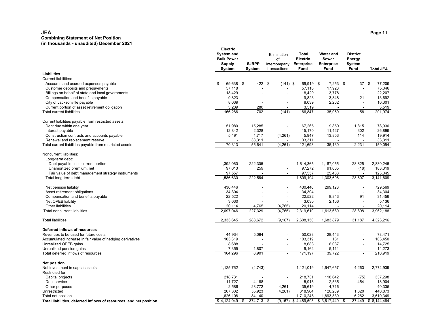#### **JEA Page 11 Combining Statement of Net Position (in thousands - unaudited) December 2021**

|                                                                    | Electric<br><b>System and</b><br><b>Bulk Power</b><br><b>Supply</b><br>System | <b>SJRPP</b><br>System | Elimination<br>of<br>intercompany<br>transactions | Total<br>Electric<br><b>Enterprise</b><br>Fund | <b>Water and</b><br><b>Sewer</b><br><b>Enterprise</b><br><b>Fund</b> | <b>District</b><br>Energy<br><b>System</b><br>Fund | <b>Total JEA</b>     |
|--------------------------------------------------------------------|-------------------------------------------------------------------------------|------------------------|---------------------------------------------------|------------------------------------------------|----------------------------------------------------------------------|----------------------------------------------------|----------------------|
| <b>Liabilities</b>                                                 |                                                                               |                        |                                                   |                                                |                                                                      |                                                    |                      |
| <b>Current liabilities:</b>                                        |                                                                               |                        |                                                   |                                                |                                                                      |                                                    |                      |
| Accounts and accrued expenses payable                              | \$<br>69,638                                                                  | - \$<br>422 \$         | $(141)$ \$                                        | 69,919 \$                                      | $7,253$ \$                                                           | 37                                                 | \$<br>77,209         |
| Customer deposits and prepayments                                  | 57,118                                                                        |                        |                                                   | 57,118                                         | 17,928                                                               | $\overline{\phantom{a}}$                           | 75,046               |
| Billings on behalf of state and local governments                  | 18,429                                                                        |                        | $\blacksquare$                                    | 18,429                                         | 3,778                                                                | $\overline{\phantom{a}}$                           | 22,207               |
| Compensation and benefits payable                                  | 9,823                                                                         |                        |                                                   | 9,823                                          | 3,848                                                                | 21                                                 | 13,692               |
| City of Jacksonville payable                                       | 8,039                                                                         |                        | $\blacksquare$                                    | 8,039                                          | 2,262                                                                | $\blacksquare$                                     | 10,301               |
| Current portion of asset retirement obligation                     | 3,239                                                                         | 280                    |                                                   | 3,519                                          |                                                                      |                                                    | 3,519                |
| <b>Total current liabilities</b>                                   | 166,286                                                                       | 702                    | (141)                                             | 166,847                                        | 35,069                                                               | 58                                                 | 201,974              |
| Current liabilities payable from restricted assets:                |                                                                               |                        |                                                   |                                                |                                                                      |                                                    |                      |
| Debt due within one year                                           | 51,980                                                                        | 15,285                 |                                                   | 67,265                                         | 9,850                                                                | 1,815                                              | 78,930               |
| Interest payable                                                   | 12,842                                                                        | 2,328                  |                                                   | 15,170                                         | 11,427                                                               | 302                                                | 26,899               |
| Construction contracts and accounts payable                        | 5,491                                                                         | 4,717                  | (4,261)                                           | 5,947                                          | 13,853                                                               | 114                                                | 19.914               |
| Renewal and replacement reserve                                    |                                                                               | 33,311                 |                                                   | 33,311                                         |                                                                      |                                                    | 33,311               |
| Total current liabilities payable from restricted assets           | 70,313                                                                        | 55,641                 | (4, 261)                                          | 121,693                                        | 35,130                                                               | 2,231                                              | 159,054              |
| Noncurrent liabilities:                                            |                                                                               |                        |                                                   |                                                |                                                                      |                                                    |                      |
| Long-term debt:                                                    |                                                                               |                        |                                                   |                                                |                                                                      |                                                    |                      |
| Debt payable, less current portion                                 | 1.392.060                                                                     | 222,305                |                                                   | 1,614,365                                      | 1,187,055                                                            | 28,825                                             | 2,830,245            |
| Unamortized premium, net                                           | 97,013                                                                        | 259                    |                                                   | 97,272                                         | 91,065                                                               | (18)                                               | 188,319              |
| Fair value of debt management strategy instruments                 | 97,557<br>1,586,630                                                           | L,<br>222,564          | $\overline{\phantom{a}}$<br>$\blacksquare$        | 97,557<br>1,809,194                            | 25,488<br>1,303,608                                                  | $\blacksquare$<br>28,807                           | 123,045<br>3,141,609 |
| Total long-term debt                                               |                                                                               |                        |                                                   |                                                |                                                                      |                                                    |                      |
| Net pension liability                                              | 430,446                                                                       |                        | $\blacksquare$                                    | 430,446                                        | 299,123                                                              | $\overline{\phantom{a}}$                           | 729,569              |
| Asset retirement obligations                                       | 34.304                                                                        |                        |                                                   | 34,304                                         |                                                                      |                                                    | 34.304               |
| Compensation and benefits payable                                  | 22.522                                                                        |                        | $\overline{\phantom{a}}$                          | 22,522                                         | 8,843                                                                | 91                                                 | 31,456               |
| Net OPEB liability                                                 | 3.030                                                                         |                        |                                                   | 3,030                                          | 2,106                                                                | $\overline{\phantom{a}}$                           | 5,136                |
| Other liabilities                                                  | 20,114                                                                        | 4,765                  | (4,765)                                           | 20,114                                         |                                                                      |                                                    | 20,114               |
| Total noncurrent liabilities                                       | 2,097,046                                                                     | 227,329                | (4, 765)                                          | 2,319,610                                      | 1,613,680                                                            | 28,898                                             | 3,962,188            |
| <b>Total liabilities</b>                                           | 2,333,645                                                                     | 283,672                | (9, 167)                                          | 2,608,150                                      | 1,683,879                                                            | 31,187                                             | 4,323,216            |
| Deferred inflows of resources                                      |                                                                               |                        |                                                   |                                                |                                                                      |                                                    |                      |
| Revenues to be used for future costs                               | 44,934                                                                        | 5,094                  |                                                   | 50,028                                         | 28,443                                                               | $\overline{a}$                                     | 78,471               |
| Accumulated increase in fair value of hedging derivatives          | 103,319                                                                       |                        |                                                   | 103,319                                        | 131                                                                  |                                                    | 103,450              |
| Unrealized OPEB gains                                              | 8,688                                                                         |                        | $\overline{\phantom{a}}$                          | 8,688                                          | 6,037                                                                | $\overline{\phantom{a}}$                           | 14,725               |
| Unrealized pension gains                                           | 7,355                                                                         | 1,807                  | ÷,                                                | 9,162                                          | 5,111                                                                | $\overline{a}$                                     | 14,273               |
| Total deferred inflows of resources                                | 164,296                                                                       | 6,901                  | $\blacksquare$                                    | 171,197                                        | 39,722                                                               | $\sim$                                             | 210,919              |
| <b>Net position</b>                                                |                                                                               |                        |                                                   |                                                |                                                                      |                                                    |                      |
| Net investment in capital assets                                   | 1,125,762                                                                     | (4,743)                |                                                   | 1,121,019                                      | 1,647,657                                                            | 4,263                                              | 2,772,939            |
| Restricted for:                                                    |                                                                               |                        |                                                   |                                                |                                                                      |                                                    |                      |
| Capital projects                                                   | 218,731                                                                       |                        |                                                   | 218,731                                        | 118,642                                                              | (75)                                               | 337,298              |
| Debt service                                                       | 11,727                                                                        | 4,188                  | $\blacksquare$                                    | 15,915                                         | 2,535                                                                | 454                                                | 18,904               |
| Other purposes                                                     | 2,586                                                                         | 28,772                 | 4,261                                             | 35,619                                         | 4,716                                                                |                                                    | 40,335               |
| Unrestricted                                                       | 267,302                                                                       | 55,923                 | (4, 261)                                          | 318,964                                        | 120,289                                                              | 1,620                                              | 440,873              |
| Total net position                                                 | 1,626,108                                                                     | 84,140                 |                                                   | 1,710,248                                      | 1,893,839                                                            | 6,262                                              | 3,610,349            |
| Total liabilities, deferred inflows of resources, and net position | \$4,124,049                                                                   | \$<br>374,713 \$       |                                                   | $(9,167)$ \$ 4,489,595                         | \$3,617,440                                                          | 37,449<br>\$                                       | \$8,144,484          |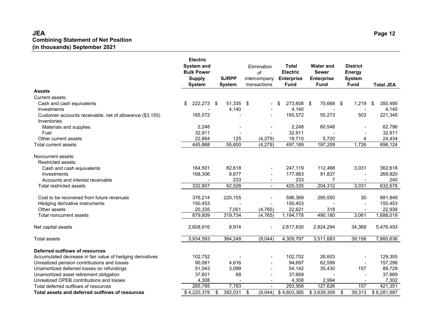#### **JEA Page 12 Combining Statement of Net Position (in thousands) September 2021**

|                                                           | <b>Electric</b><br><b>Supply</b><br><b>System</b> | <b>System and</b><br><b>Bulk Power</b><br><b>SJRPP</b><br><b>System</b> |                | Elimination<br>of<br>intercompany<br>transactions<br><b>Fund</b> |                          | <b>Total</b><br><b>Electric</b><br><b>Enterprise</b> | <b>Water and</b><br><b>Sewer</b><br><b>Enterprise</b><br><b>Fund</b> |    | <b>District</b><br><b>Energy</b><br><b>System</b><br><b>Fund</b> | <b>Total JEA</b> |
|-----------------------------------------------------------|---------------------------------------------------|-------------------------------------------------------------------------|----------------|------------------------------------------------------------------|--------------------------|------------------------------------------------------|----------------------------------------------------------------------|----|------------------------------------------------------------------|------------------|
| <b>Assets</b>                                             |                                                   |                                                                         |                |                                                                  |                          |                                                      |                                                                      |    |                                                                  |                  |
| Current assets:                                           |                                                   |                                                                         |                |                                                                  |                          |                                                      |                                                                      |    |                                                                  |                  |
| Cash and cash equivalents                                 | 222,273<br>\$                                     | \$                                                                      | 51,335 \$      |                                                                  |                          | 273,608<br>\$                                        | 75,668 \$<br>- \$                                                    |    | 1,219                                                            | 350,495<br>\$    |
| Investments                                               |                                                   |                                                                         | 4,140          |                                                                  |                          | 4,140                                                |                                                                      |    |                                                                  | 4,140            |
| Customer accounts receivable, net of allowance (\$3,155)  | 165,572                                           |                                                                         |                |                                                                  |                          | 165,572                                              | 55,273                                                               |    | 503                                                              | 221,348          |
| Inventories:                                              |                                                   |                                                                         |                |                                                                  |                          |                                                      |                                                                      |    |                                                                  |                  |
| Materials and supplies                                    | 2,248                                             |                                                                         |                |                                                                  |                          | 2,248                                                | 60,548                                                               |    |                                                                  | 62,796           |
| Fuel                                                      | 32,911                                            |                                                                         |                |                                                                  | $\overline{a}$           | 32,911                                               |                                                                      |    |                                                                  | 32,911           |
| Other current assets                                      | 22,864                                            |                                                                         | 125            |                                                                  | (4,279)                  | 18,710                                               | 5,720                                                                |    | 4                                                                | 24,434           |
| Total current assets                                      | 445,868                                           |                                                                         | 55,600         |                                                                  | (4,279)                  | 497,189                                              | 197,209                                                              |    | 1,726                                                            | 696,124          |
| Noncurrent assets:<br>Restricted assets:                  |                                                   |                                                                         |                |                                                                  |                          |                                                      |                                                                      |    |                                                                  |                  |
| Cash and cash equivalents                                 | 164,501                                           |                                                                         | 82,618         |                                                                  |                          | 247,119                                              | 112,468                                                              |    | 3,031                                                            | 362,618          |
| Investments                                               | 168,306                                           |                                                                         | 9,677          |                                                                  |                          | 177,983                                              | 91,837                                                               |    |                                                                  | 269,820          |
| Accounts and interest receivable                          |                                                   |                                                                         | 233            |                                                                  | $\blacksquare$           | 233                                                  | 7                                                                    |    | $\overline{\phantom{a}}$                                         | 240              |
| Total restricted assets                                   | 332,807                                           |                                                                         | 92,528         |                                                                  | $\blacksquare$           | 425,335                                              | 204,312                                                              |    | 3,031                                                            | 632,678          |
| Cost to be recovered from future revenues                 | 376,214                                           |                                                                         | 220,155        |                                                                  |                          | 596,369                                              | 285,550                                                              |    | 30                                                               | 881,949          |
| Hedging derivative instruments                            | 150,453                                           |                                                                         |                |                                                                  |                          | 150,453                                              |                                                                      |    |                                                                  | 150,453          |
| Other assets                                              | 20,335                                            |                                                                         | 7,051          |                                                                  | (4, 765)                 | 22,621                                               | 318                                                                  |    |                                                                  | 22,939           |
| Total noncurrent assets                                   | 879,809                                           |                                                                         | 319,734        |                                                                  | (4, 765)                 | 1,194,778                                            | 490,180                                                              |    | 3,061                                                            | 1,688,019        |
| Net capital assets                                        | 2,608,916                                         |                                                                         | 8,914          |                                                                  | $\blacksquare$           | 2,617,830                                            | 2,824,294                                                            |    | 34,369                                                           | 5,476,493        |
| <b>Total assets</b>                                       | 3,934,593                                         |                                                                         | 384,248        |                                                                  | (9,044)                  | 4,309,797                                            | 3,511,683                                                            |    | 39,156                                                           | 7,860,636        |
| Deferred outflows of resources                            |                                                   |                                                                         |                |                                                                  |                          |                                                      |                                                                      |    |                                                                  |                  |
| Accumulated decrease in fair value of hedging derivatives | 102,752                                           |                                                                         |                |                                                                  |                          | 102,752                                              | 26,603                                                               |    |                                                                  | 129,355          |
| Unrealized pension contributions and losses               | 90,081                                            |                                                                         | 4,616          |                                                                  |                          | 94,697                                               | 62,599                                                               |    | $\blacksquare$                                                   | 157,296          |
| Unamortized deferred losses on refundings                 | 51,043                                            |                                                                         | 3,099          |                                                                  | $\blacksquare$           | 54,142                                               | 35,430                                                               |    | 157                                                              | 89,729           |
| Unamortized asset retirement obligation                   | 37,601                                            |                                                                         | 68             |                                                                  | $\blacksquare$           | 37,669                                               |                                                                      |    |                                                                  | 37,669           |
| Unrealized OPEB contributions and losses                  | 4,308                                             |                                                                         | $\blacksquare$ |                                                                  | $\overline{\phantom{a}}$ | 4,308                                                | 2,994                                                                |    | $\blacksquare$                                                   | 7,302            |
| Total deferred outflows of resources                      | 285,785                                           |                                                                         | 7,783          |                                                                  | $\overline{a}$           | 293,568                                              | 127,626                                                              |    | 157                                                              | 421,351          |
| Total assets and deferred outflows of resources           | \$4,220,378                                       | \$                                                                      | 392,031        | \$                                                               | (9,044)                  | \$4,603,365                                          | \$3,639,309                                                          | \$ | 39,313                                                           | \$8,281,987      |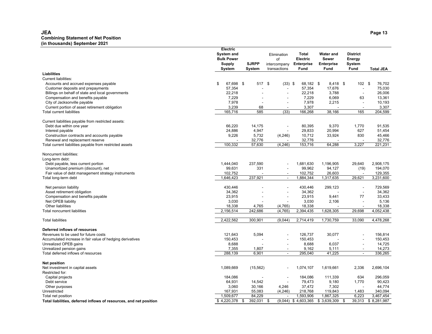#### **JEA Page 13 Combining Statement of Net Position (in thousands) September 2021**

|                                                                    | Electric<br><b>System and</b><br><b>Bulk Power</b><br>Supply<br>System | <b>SJRPP</b><br><b>System</b> | Elimination<br>of<br>intercompany<br>transactions | Total<br><b>Electric</b><br><b>Enterprise</b><br>Fund | <b>Water and</b><br><b>Sewer</b><br><b>Enterprise</b><br><b>Fund</b> | <b>District</b><br>Energy<br>System<br>Fund | <b>Total JEA</b> |
|--------------------------------------------------------------------|------------------------------------------------------------------------|-------------------------------|---------------------------------------------------|-------------------------------------------------------|----------------------------------------------------------------------|---------------------------------------------|------------------|
| <b>Liabilities</b>                                                 |                                                                        |                               |                                                   |                                                       |                                                                      |                                             |                  |
| <b>Current liabilities:</b>                                        |                                                                        |                               |                                                   |                                                       |                                                                      |                                             |                  |
| Accounts and accrued expenses payable                              | \$<br>67,698 \$                                                        | 517 \$                        | $(33)$ \$                                         | 68,182 \$                                             | 8,418 \$                                                             | $102 - $$                                   | 76,702           |
| Customer deposits and prepayments                                  | 57,354                                                                 |                               |                                                   | 57,354                                                | 17,676                                                               | $\overline{\phantom{a}}$                    | 75,030           |
| Billings on behalf of state and local governments                  | 22,218                                                                 |                               |                                                   | 22,218                                                | 3,788                                                                | $\overline{\phantom{a}}$                    | 26,006           |
| Compensation and benefits payable                                  | 7,229                                                                  |                               | $\overline{\phantom{a}}$                          | 7,229                                                 | 6,069                                                                | 63                                          | 13,361           |
| City of Jacksonville payable                                       | 7,978                                                                  |                               | $\overline{\phantom{a}}$                          | 7,978                                                 | 2,215                                                                | $\blacksquare$                              | 10,193           |
| Current portion of asset retirement obligation                     | 3,239                                                                  | 68                            |                                                   | 3,307                                                 |                                                                      | $\overline{a}$                              | 3,307            |
| <b>Total current liabilities</b>                                   | 165,716                                                                | 585                           | (33)                                              | 166,268                                               | 38,166                                                               | 165                                         | 204,599          |
| Current liabilities payable from restricted assets:                |                                                                        |                               |                                                   |                                                       |                                                                      |                                             |                  |
| Debt due within one year                                           | 66,220                                                                 | 14,175                        | $\overline{\phantom{a}}$                          | 80,395                                                | 9,370                                                                | 1,770                                       | 91,535           |
| Interest payable                                                   | 24,886                                                                 | 4,947                         |                                                   | 29,833                                                | 20,994                                                               | 627                                         | 51,454           |
| Construction contracts and accounts payable                        | 9,226                                                                  | 5,732                         | (4, 246)                                          | 10,712                                                | 33,924                                                               | 830                                         | 45,466           |
| Renewal and replacement reserve                                    |                                                                        | 32,776                        |                                                   | 32,776                                                |                                                                      |                                             | 32,776           |
| Total current liabilities payable from restricted assets           | 100,332                                                                | 57,630                        | (4, 246)                                          | 153,716                                               | 64,288                                                               | 3,227                                       | 221,231          |
| Noncurrent liabilities:<br>Long-term debt:                         |                                                                        |                               |                                                   |                                                       |                                                                      |                                             |                  |
| Debt payable, less current portion                                 | 1,444,040                                                              | 237,590                       |                                                   | 1,681,630                                             | 1,196,905                                                            | 29,640                                      | 2,908,175        |
| Unamortized premium (discount), net                                | 99,631                                                                 | 331                           |                                                   | 99,962                                                | 94,127                                                               | (19)                                        | 194,070          |
| Fair value of debt management strategy instruments                 | 102,752                                                                |                               | $\overline{\phantom{a}}$                          | 102,752                                               | 26,603                                                               |                                             | 129,355          |
| Total long-term debt                                               | 1,646,423                                                              | 237,921                       | $\blacksquare$                                    | 1,884,344                                             | 1,317,635                                                            | 29,621                                      | 3,231,600        |
| Net pension liability                                              | 430,446                                                                |                               | $\blacksquare$                                    | 430,446                                               | 299,123                                                              | $\blacksquare$                              | 729,569          |
| Asset retirement obligation                                        | 34,362                                                                 |                               |                                                   | 34,362                                                |                                                                      | $\overline{a}$                              | 34,362           |
| Compensation and benefits payable                                  | 23,915                                                                 |                               | $\blacksquare$                                    | 23,915                                                | 9,441                                                                | 77                                          | 33,433           |
| Net OPEB liability                                                 | 3,030                                                                  |                               |                                                   | 3,030                                                 | 2,106                                                                | $\overline{\phantom{a}}$                    | 5,136            |
| Other liabilities                                                  | 18,338                                                                 | 4,765                         | (4, 765)                                          | 18,338                                                |                                                                      | $\overline{a}$                              | 18,338           |
| <b>Total noncurrent liabilities</b>                                | 2,156,514                                                              | 242,686                       | (4, 765)                                          | 2,394,435                                             | 1,628,305                                                            | 29,698                                      | 4,052,438        |
| <b>Total liabilities</b>                                           | 2,422,562                                                              | 300,901                       | (9,044)                                           | 2,714,419                                             | 1,730,759                                                            | 33,090                                      | 4,478,268        |
| Deferred inflows of resources                                      |                                                                        |                               |                                                   |                                                       |                                                                      |                                             |                  |
| Revenues to be used for future costs                               | 121,643                                                                | 5,094                         | $\blacksquare$                                    | 126,737                                               | 30,077                                                               | $\overline{\phantom{a}}$                    | 156,814          |
| Accumulated increase in fair value of hedging derivatives          | 150,453                                                                |                               |                                                   | 150,453                                               |                                                                      |                                             | 150,453          |
| Unrealized OPEB gains                                              | 8,688                                                                  |                               | $\blacksquare$                                    | 8,688                                                 | 6,037                                                                | $\overline{\phantom{a}}$                    | 14,725           |
| Unrealized pension gains                                           | 7,355                                                                  | 1,807                         | $\blacksquare$                                    | 9,162                                                 | 5,111                                                                | $\blacksquare$                              | 14,273           |
| Total deferred inflows of resources                                | 288,139                                                                | 6,901                         | $\blacksquare$                                    | 295,040                                               | 41,225                                                               | $\sim$                                      | 336,265          |
| <b>Net position</b>                                                |                                                                        |                               |                                                   |                                                       |                                                                      |                                             |                  |
| Net investment in capital assets                                   | 1,089,669                                                              | (15, 562)                     |                                                   | 1,074,107                                             | 1,619,661                                                            | 2,336                                       | 2,696,104        |
| Restricted for:                                                    |                                                                        |                               |                                                   |                                                       |                                                                      |                                             |                  |
| Capital projects                                                   | 184,086                                                                |                               | $\blacksquare$                                    | 184,086                                               | 111,339                                                              | 634                                         | 296,059          |
| Debt service                                                       | 64,931                                                                 | 14,542                        | $\sim$                                            | 79,473                                                | 9,180                                                                | 1,770                                       | 90,423           |
| Other purposes                                                     | 3,060                                                                  | 30,166                        | 4,246                                             | 37,472                                                | 7,302                                                                |                                             | 44,774           |
| Unrestricted                                                       | 167,931                                                                | 55,083                        | (4, 246)                                          | 218,768                                               | 119,843                                                              | 1,483                                       | 340,094          |
| Total net position                                                 | 1,509,677                                                              | 84,229                        |                                                   | 1,593,906                                             | 1,867,325                                                            | 6,223                                       | 3,467,454        |
| Total liabilities, deferred inflows of resources, and net position | \$4,220,378                                                            | 392,031<br>\$                 | (9,044)<br>\$                                     | \$4,603,365                                           | \$3,639,309                                                          | 39,313<br>\$                                | \$8,281,987      |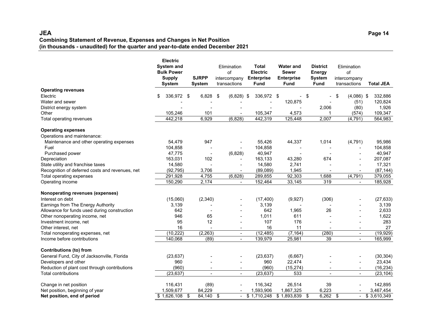#### **JEA Page 14 Combining Statement of Revenue, Expenses and Changes in Net Position (in thousands - unaudited) for the quarter and year-to-date ended December 2021**

|                                                 | <b>Electric</b><br><b>System and</b> |                               | Elimination                  | Total                            | <b>Water and</b>          | <b>District</b>          | Elimination                  |                          |                  |
|-------------------------------------------------|--------------------------------------|-------------------------------|------------------------------|----------------------------------|---------------------------|--------------------------|------------------------------|--------------------------|------------------|
|                                                 | <b>Bulk Power</b>                    |                               | of                           | <b>Electric</b>                  | <b>Sewer</b>              | Energy                   | of                           |                          |                  |
|                                                 | <b>Supply</b><br>System              | <b>SJRPP</b><br><b>System</b> | intercompany<br>transactions | <b>Enterprise</b><br><b>Fund</b> | <b>Enterprise</b><br>Fund | <b>System</b><br>Fund    | intercompany<br>transactions |                          | <b>Total JEA</b> |
| <b>Operating revenues</b>                       |                                      |                               |                              |                                  |                           |                          |                              |                          |                  |
| Electric                                        | 336,972 \$<br>\$                     | 6,828                         | \$<br>$(6,828)$ \$           | 336,972 \$                       | $\sim$                    | -\$                      | \$                           | $(4,086)$ \$             | 332,886          |
| Water and sewer                                 |                                      |                               |                              |                                  | 120,875                   |                          |                              | (51)                     | 120,824          |
| District energy system                          |                                      |                               |                              |                                  |                           | 2,006                    |                              | (80)                     | 1,926            |
| Other                                           | 105,246                              | 101                           |                              | 105,347                          | 4,573                     |                          |                              | (574)                    | 109,347          |
| Total operating revenues                        | 442,218                              | 6,929                         | (6, 828)                     | 442,319                          | 125,448                   | 2,007                    |                              | (4, 791)                 | 564,983          |
| <b>Operating expenses</b>                       |                                      |                               |                              |                                  |                           |                          |                              |                          |                  |
| Operations and maintenance:                     |                                      |                               |                              |                                  |                           |                          |                              |                          |                  |
| Maintenance and other operating expenses        | 54.479                               | 947                           |                              | 55,426                           | 44,337                    | 1,014                    |                              | (4,791)                  | 95,986           |
| Fuel                                            | 104,858                              |                               |                              | 104,858                          |                           |                          |                              |                          | 104,858          |
| Purchased power                                 | 47,775                               | $\overline{\phantom{a}}$      | (6,828)                      | 40,947                           | $\overline{\phantom{0}}$  |                          |                              | $\overline{\phantom{a}}$ | 40,947           |
| Depreciation                                    | 163,031                              | 102                           |                              | 163,133                          | 43,280                    | 674                      |                              |                          | 207,087          |
| State utility and franchise taxes               | 14,580                               |                               |                              | 14,580                           | 2,741                     |                          |                              |                          | 17,321           |
| Recognition of deferred costs and revenues, net | (92, 795)                            | 3,706                         |                              | (89,089)                         | 1,945                     |                          |                              |                          | (87, 144)        |
| Total operating expenses                        | 291,928                              | 4,755                         | (6, 828)                     | 289,855                          | 92,303                    | 1,688                    |                              | (4, 791)                 | 379,055          |
| Operating income                                | 150,290                              | 2,174                         | $\overline{\phantom{a}}$     | 152,464                          | 33,145                    | 319                      |                              | $\overline{\phantom{a}}$ | 185,928          |
| Nonoperating revenues (expenses)                |                                      |                               |                              |                                  |                           |                          |                              |                          |                  |
| Interest on debt                                | (15,060)                             | (2, 340)                      |                              | (17, 400)                        | (9,927)                   | (306)                    |                              |                          | (27, 633)        |
| Earnings from The Energy Authority              | 3,139                                |                               |                              | 3,139                            |                           |                          |                              |                          | 3,139            |
| Allowance for funds used during construction    | 642                                  |                               |                              | 642                              | 1,965                     | 26                       |                              |                          | 2,633            |
| Other nonoperating income, net                  | 946                                  | 65                            |                              | 1,011                            | 611                       |                          |                              |                          | 1,622            |
| Investment income, net                          | 95                                   | 12                            | $\blacksquare$               | 107                              | 176                       |                          |                              | $\blacksquare$           | 283              |
| Other interest, net                             | 16                                   | $\blacksquare$                | $\blacksquare$               | 16                               | 11                        | $\overline{\phantom{a}}$ |                              | $\blacksquare$           | 27               |
| Total nonoperating expenses, net                | (10, 222)                            | (2, 263)                      | $\overline{\phantom{a}}$     | (12, 485)                        | (7, 164)                  | (280)                    |                              | $\overline{\phantom{a}}$ | (19, 929)        |
| Income before contributions                     | 140,068                              | (89)                          | $\blacksquare$               | 139,979                          | 25,981                    | 39                       |                              | $\blacksquare$           | 165,999          |
| <b>Contributions (to) from</b>                  |                                      |                               |                              |                                  |                           |                          |                              |                          |                  |
| General Fund, City of Jacksonville, Florida     | (23, 637)                            |                               | $\blacksquare$               | (23, 637)                        | (6,667)                   |                          |                              | $\blacksquare$           | (30, 304)        |
| Developers and other                            | 960                                  |                               |                              | 960                              | 22,474                    |                          |                              | $\blacksquare$           | 23,434           |
| Reduction of plant cost through contributions   | (960)                                |                               | $\overline{\phantom{a}}$     | (960)                            | (15, 274)                 |                          |                              | $\blacksquare$           | (16, 234)        |
| <b>Total contributions</b>                      | (23, 637)                            | $\overline{a}$                | $\overline{a}$               | (23, 637)                        | 533                       |                          |                              | $\blacksquare$           | (23, 104)        |
| Change in net position                          | 116,431                              | (89)                          |                              | 116,342                          | 26,514                    | 39                       |                              |                          | 142,895          |
| Net position, beginning of year                 | 1,509,677                            | 84,229                        |                              | 1,593,906                        | 1,867,325                 | 6,223                    |                              |                          | 3,467,454        |
| Net position, end of period                     | \$1,626,108                          | \$<br>84,140 \$               |                              | \$1,710,248                      | \$1,893,839               | 6,262<br>-\$             | -\$                          | $\overline{\phantom{a}}$ | \$3,610,349      |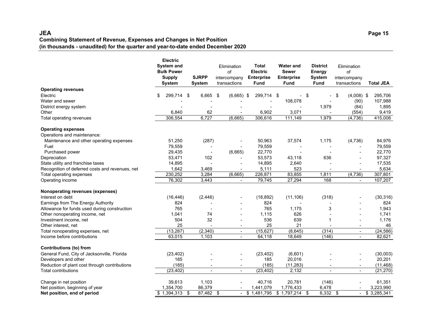#### **JEA Page 15 Combining Statement of Revenue, Expenses and Changes in Net Position (in thousands - unaudited) for the quarter and year-to-date ended December 2020**

|                                                 | <b>Electric</b><br><b>System and</b><br><b>Bulk Power</b><br><b>Supply</b><br><b>System</b> |       | <b>SJRPP</b><br><b>System</b> | Elimination<br>of<br>intercompany<br>transactions | Total<br><b>Electric</b><br><b>Enterprise</b><br><b>Fund</b> | <b>Water and</b><br><b>Sewer</b><br><b>Enterprise</b><br><b>Fund</b> | <b>District</b><br>Energy<br><b>System</b><br><b>Fund</b> | Elimination<br>of<br>intercompany<br>transactions | <b>Total JEA</b> |
|-------------------------------------------------|---------------------------------------------------------------------------------------------|-------|-------------------------------|---------------------------------------------------|--------------------------------------------------------------|----------------------------------------------------------------------|-----------------------------------------------------------|---------------------------------------------------|------------------|
| <b>Operating revenues</b>                       |                                                                                             |       |                               |                                                   |                                                              |                                                                      |                                                           |                                                   |                  |
| Electric                                        | \$<br>299,714                                                                               | \$    | 6,665                         | \$<br>$(6,665)$ \$                                | 299,714 \$                                                   | $\sim$                                                               | - \$                                                      | \$<br>$(4,008)$ \$                                | 295,706          |
| Water and sewer                                 |                                                                                             |       |                               |                                                   |                                                              | 108,078                                                              |                                                           | (90)                                              | 107,988          |
| District energy system<br>Other                 |                                                                                             | 6,840 | 62                            |                                                   | 6,902                                                        |                                                                      | 1,979                                                     | (84)                                              | 1,895            |
|                                                 | 306,554                                                                                     |       | 6,727                         | (6,665)                                           | 306,616                                                      | 3,071<br>111,149                                                     | 1,979                                                     | (554)<br>(4,736)                                  | 9,419<br>415,008 |
| Total operating revenues                        |                                                                                             |       |                               |                                                   |                                                              |                                                                      |                                                           |                                                   |                  |
| <b>Operating expenses</b>                       |                                                                                             |       |                               |                                                   |                                                              |                                                                      |                                                           |                                                   |                  |
| Operations and maintenance:                     |                                                                                             |       |                               |                                                   |                                                              |                                                                      |                                                           |                                                   |                  |
| Maintenance and other operating expenses        | 51,250                                                                                      |       | (287)                         |                                                   | 50,963                                                       | 37,574                                                               | 1,175                                                     | (4,736)                                           | 84,976           |
| Fuel                                            | 79,559                                                                                      |       |                               |                                                   | 79,559                                                       |                                                                      |                                                           |                                                   | 79,559           |
| Purchased power                                 | 29,435                                                                                      |       | $\overline{\phantom{a}}$      | (6,665)                                           | 22,770                                                       | $\blacksquare$                                                       |                                                           |                                                   | 22,770           |
| Depreciation                                    | 53,471                                                                                      |       | 102                           |                                                   | 53,573                                                       | 43,118                                                               | 636                                                       |                                                   | 97,327           |
| State utility and franchise taxes               | 14,895                                                                                      |       |                               |                                                   | 14,895                                                       | 2,640                                                                |                                                           |                                                   | 17,535           |
| Recognition of deferred costs and revenues, net |                                                                                             | 1,642 | 3,469                         |                                                   | 5,111                                                        | 523                                                                  |                                                           |                                                   | 5,634            |
| Total operating expenses                        | 230,252                                                                                     |       | 3,284                         | (6,665)                                           | 226,871                                                      | 83,855                                                               | 1,811                                                     | (4, 736)                                          | 307,801          |
| Operating income                                | 76,302                                                                                      |       | 3,443                         | $\overline{\phantom{a}}$                          | 79,745                                                       | 27,294                                                               | 168                                                       | $\overline{\phantom{a}}$                          | 107,207          |
| Nonoperating revenues (expenses)                |                                                                                             |       |                               |                                                   |                                                              |                                                                      |                                                           |                                                   |                  |
| Interest on debt                                | (16, 446)                                                                                   |       | (2, 446)                      |                                                   | (18, 892)                                                    | (11, 106)                                                            | (318)                                                     |                                                   | (30, 316)        |
| Earnings from The Energy Authority              |                                                                                             | 824   |                               |                                                   | 824                                                          |                                                                      |                                                           |                                                   | 824              |
| Allowance for funds used during construction    |                                                                                             | 765   |                               |                                                   | 765                                                          | 1,175                                                                | 3                                                         |                                                   | 1,943            |
| Other nonoperating income, net                  |                                                                                             | 1,041 | 74                            |                                                   | 1,115                                                        | 626                                                                  |                                                           |                                                   | 1,741            |
| Investment income, net                          |                                                                                             | 504   | 32                            |                                                   | 536                                                          | 639                                                                  |                                                           | $\overline{\phantom{a}}$                          | 1,176            |
| Other interest, net                             |                                                                                             | 25    |                               | $\overline{\phantom{a}}$                          | 25                                                           | 21                                                                   | $\blacksquare$                                            | $\overline{\phantom{a}}$                          | 46               |
| Total nonoperating expenses, net                | (13, 287)                                                                                   |       | (2, 340)                      | $\overline{\phantom{a}}$                          | (15, 627)                                                    | (8,645)                                                              | (314)                                                     | $\overline{\phantom{a}}$                          | (24, 586)        |
| Income before contributions                     | 63,015                                                                                      |       | 1,103                         | $\blacksquare$                                    | 64,118                                                       | 18,649                                                               | (146)                                                     | $\blacksquare$                                    | 82,621           |
| <b>Contributions (to) from</b>                  |                                                                                             |       |                               |                                                   |                                                              |                                                                      |                                                           |                                                   |                  |
| General Fund, City of Jacksonville, Florida     | (23, 402)                                                                                   |       |                               |                                                   | (23, 402)                                                    | (6,601)                                                              |                                                           |                                                   | (30,003)         |
| Developers and other                            |                                                                                             | 185   |                               |                                                   | 185                                                          | 20,016                                                               |                                                           |                                                   | 20,201           |
| Reduction of plant cost through contributions   |                                                                                             | (185) |                               |                                                   | (185)                                                        | (11, 283)                                                            |                                                           |                                                   | (11, 468)        |
| <b>Total contributions</b>                      | (23, 402)                                                                                   |       | $\blacksquare$                | $\blacksquare$                                    | (23, 402)                                                    | 2,132                                                                | $\blacksquare$                                            | $\blacksquare$                                    | (21, 270)        |
| Change in net position                          | 39,613                                                                                      |       | 1,103                         |                                                   | 40,716                                                       | 20,781                                                               | (146)                                                     |                                                   | 61,351           |
| Net position, beginning of year                 | 1,354,700                                                                                   |       | 86,379                        |                                                   | 1,441,079                                                    | 1,776,433                                                            | 6,478                                                     |                                                   | 3,223,990        |
| Net position, end of period                     | $$1,394,313$ \$                                                                             |       | $87,482$ \$                   | $\sim$                                            | \$1,481,795                                                  | $$1,797,214$ \\$                                                     | $6,332$ \$                                                |                                                   | \$3,285,341      |
|                                                 |                                                                                             |       |                               |                                                   |                                                              |                                                                      |                                                           |                                                   |                  |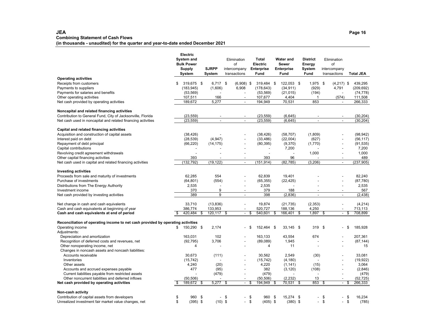### **JEA Page 16 Combining Statement of Cash Flows**

**(in thousands - unaudited) for the quarter and year-to-date ended December 2021**

|                                                                                             | Electric<br>System and<br><b>Bulk Power</b><br>Supply<br>System |                        |     | <b>SJRPP</b><br>System | Elimination<br>of<br>intercompany<br>transactions |      | <b>Total</b><br>Electric<br><b>Enterprise</b><br>Fund | <b>Water and</b><br>Sewer<br><b>Enterprise</b><br><b>Fund</b> | <b>District</b><br>Energy<br><b>System</b><br>Fund | Elimination<br>of<br>intercompany<br>transactions |     | <b>Total JEA</b> |
|---------------------------------------------------------------------------------------------|-----------------------------------------------------------------|------------------------|-----|------------------------|---------------------------------------------------|------|-------------------------------------------------------|---------------------------------------------------------------|----------------------------------------------------|---------------------------------------------------|-----|------------------|
| <b>Operating activities</b>                                                                 |                                                                 |                        |     |                        |                                                   |      |                                                       |                                                               |                                                    |                                                   |     |                  |
| Receipts from customers                                                                     | \$                                                              | 319,675 \$             |     | $6,717$ \$             | $(6,908)$ \$                                      |      | 319,484 \$                                            | 122,053 \$                                                    | 1,975 \$                                           | $(4,217)$ \$                                      |     | 439,295          |
| Payments to suppliers                                                                       |                                                                 | (183, 945)             |     | (1,606)                | 6,908                                             |      | (178, 643)                                            | (34, 911)                                                     | (929)                                              | 4,791                                             |     | (209, 692)       |
| Payments for salaries and benefits                                                          |                                                                 | (53, 569)              |     |                        |                                                   |      | (53, 569)                                             | (21, 015)                                                     | (194)                                              |                                                   |     | (74, 778)        |
| Other operating activities                                                                  |                                                                 | 107,511                |     | 166                    | $\blacksquare$                                    |      | 107,677                                               | 4,404                                                         | 1                                                  | (574)                                             |     | 111,508          |
| Net cash provided by operating activities                                                   |                                                                 | 189,672                |     | 5,277                  | $\overline{a}$                                    |      | 194,949                                               | 70,531                                                        | 853                                                | $\overline{a}$                                    |     | 266,333          |
| Noncapital and related financing activities                                                 |                                                                 |                        |     |                        |                                                   |      |                                                       |                                                               |                                                    |                                                   |     |                  |
| Contribution to General Fund, City of Jacksonville, Florida                                 |                                                                 | (23, 559)              |     |                        |                                                   |      | (23, 559)                                             | (6, 645)                                                      |                                                    |                                                   |     | (30, 204)        |
| Net cash used in noncapital and related financing activities                                |                                                                 | (23, 559)              |     | $\overline{a}$         | $\blacksquare$                                    |      | (23, 559)                                             | (6, 645)                                                      | $\overline{a}$                                     | $\overline{a}$                                    |     | (30, 204)        |
| Capital and related financing activities                                                    |                                                                 |                        |     |                        |                                                   |      |                                                       |                                                               |                                                    |                                                   |     |                  |
| Acquisition and construction of capital assets                                              |                                                                 |                        |     |                        |                                                   |      | (38, 426)                                             | (58, 707)                                                     | (1,809)                                            | $\overline{a}$                                    |     | (98, 942)        |
| Interest paid on debt                                                                       |                                                                 | (38, 426)<br>(28, 539) |     | (4,947)                |                                                   |      | (33, 486)                                             | (22,004)                                                      | (627)                                              |                                                   |     | (56, 117)        |
| Repayment of debt principal                                                                 |                                                                 | (66, 220)              |     | (14, 175)              |                                                   |      | (80, 395)                                             | (9,370)                                                       | (1,770)                                            |                                                   |     | (91, 535)        |
| Capital contributions                                                                       |                                                                 | $\blacksquare$         |     |                        |                                                   |      | $\overline{\phantom{a}}$                              | 7,200                                                         |                                                    | $\overline{a}$                                    |     | 7,200            |
| Revolving credit agreement withdrawals                                                      |                                                                 | ÷,                     |     |                        |                                                   |      |                                                       |                                                               | 1,000                                              | $\overline{a}$                                    |     | 1,000            |
| Other capital financing activities                                                          |                                                                 | 393                    |     |                        |                                                   |      | 393                                                   | 96                                                            |                                                    |                                                   |     | 489              |
| Net cash used in capital and related financing activities                                   |                                                                 | (132, 792)             |     | (19, 122)              | $\blacksquare$                                    |      | (151, 914)                                            | (82, 785)                                                     | (3, 206)                                           | $\overline{\phantom{a}}$                          |     | (237, 905)       |
|                                                                                             |                                                                 |                        |     |                        |                                                   |      |                                                       |                                                               |                                                    |                                                   |     |                  |
| <b>Investing activities</b>                                                                 |                                                                 |                        |     |                        |                                                   |      |                                                       |                                                               |                                                    |                                                   |     |                  |
| Proceeds from sale and maturity of investments                                              |                                                                 | 62,285                 |     | 554                    |                                                   |      | 62,839                                                | 19,401                                                        |                                                    |                                                   |     | 82,240           |
| Purchase of investments                                                                     |                                                                 | (64, 801)              |     | (554)                  |                                                   |      | (65, 355)                                             | (22, 425)                                                     |                                                    |                                                   |     | (87, 780)        |
| Distributions from The Energy Authority                                                     |                                                                 | 2,535                  |     |                        | $\overline{\phantom{a}}$                          |      | 2,535                                                 |                                                               |                                                    | $\overline{a}$                                    |     | 2,535            |
| Investment income                                                                           |                                                                 | 370                    |     | 9                      |                                                   |      | 379                                                   | 188                                                           |                                                    | $\overline{\phantom{a}}$                          |     | 567              |
| Net cash provided by investing activities                                                   |                                                                 | 389                    |     | 9                      | $\blacksquare$                                    |      | 398                                                   | (2,836)                                                       | $\overline{a}$                                     | $\overline{a}$                                    |     | (2, 438)         |
| Net change in cash and cash equivalents                                                     |                                                                 | 33,710                 |     | (13, 836)              | $\overline{\phantom{a}}$                          |      | 19,874                                                | (21, 735)                                                     | (2,353)                                            | $\overline{a}$                                    |     | (4,214)          |
| Cash and cash equivalents at beginning of year                                              |                                                                 | 386.774                |     | 133,953                |                                                   |      | 520,727                                               | 188,136                                                       | 4,250                                              |                                                   |     | 713,113          |
| Cash and cash equivalents at end of period                                                  |                                                                 | 420,484                | -\$ | 120,117                | \$<br>$\overline{\phantom{a}}$                    | \$   | 540,601                                               | \$<br>166,401                                                 | \$<br>1,897                                        | \$<br>$\blacksquare$                              | \$  | 708,899          |
| Reconciliation of operating income to net cash provided by operating activities             |                                                                 |                        |     |                        |                                                   |      |                                                       |                                                               |                                                    |                                                   |     |                  |
| Operating income                                                                            | \$                                                              | 150,290 \$             |     | 2,174                  |                                                   | \$   | 152,464 \$                                            | 33,145 \$                                                     | 319                                                | \$                                                | -\$ | 185,928          |
| Adjustments:                                                                                |                                                                 |                        |     |                        |                                                   |      |                                                       |                                                               |                                                    |                                                   |     |                  |
| Depreciation and amortization                                                               |                                                                 | 163,031                |     | 102                    |                                                   |      | 163,133                                               | 43,554                                                        | 674                                                |                                                   |     | 207,361          |
| Recognition of deferred costs and revenues, net                                             |                                                                 | (92, 795)              |     | 3,706                  |                                                   |      | (89,089)                                              | 1,945                                                         |                                                    |                                                   |     | (87, 144)        |
| Other nonoperating income, net                                                              |                                                                 | 4                      |     |                        |                                                   |      | 4                                                     | 11                                                            |                                                    |                                                   |     | 15               |
| Changes in noncash assets and noncash liabilities:                                          |                                                                 |                        |     |                        |                                                   |      |                                                       |                                                               |                                                    |                                                   |     |                  |
| Accounts receivable                                                                         |                                                                 | 30,673                 |     | (111)                  |                                                   |      | 30,562                                                | 2.549                                                         | (30)                                               |                                                   |     | 33,081           |
| Inventories                                                                                 |                                                                 | (15, 742)              |     |                        | $\overline{\phantom{a}}$                          |      | (15, 742)                                             | (4, 180)                                                      |                                                    | $\overline{a}$                                    |     | (19, 922)        |
| Other assets                                                                                |                                                                 | 4,240                  |     | (20)                   |                                                   |      | 4,220                                                 | (1, 141)                                                      | (15)                                               |                                                   |     | 3,064            |
| Accounts and accrued expenses payable<br>Current liabilities payable from restricted assets |                                                                 | 477                    |     | (95)<br>(479)          |                                                   |      | 382<br>(479)                                          | (3, 120)                                                      | (108)                                              | $\overline{\phantom{a}}$                          |     | (2,846)<br>(479) |
| Other noncurrent liabilities and deferred inflows                                           |                                                                 | (50, 506)              |     |                        | $\overline{\phantom{a}}$                          |      | (50, 506)                                             | (2, 232)                                                      | 13                                                 | $\blacksquare$                                    |     | (52, 725)        |
| Net cash provided by operating activities                                                   |                                                                 | 189,672                | -\$ | 5,277                  | \$<br>$\overline{\phantom{a}}$                    | \$   | 194,949                                               | 70,531                                                        | \$<br>853                                          | \$<br>$\blacksquare$                              | \$  | 266,333          |
|                                                                                             |                                                                 |                        |     |                        |                                                   |      |                                                       |                                                               |                                                    |                                                   |     |                  |
| Non-cash activity                                                                           |                                                                 |                        |     |                        |                                                   |      |                                                       |                                                               |                                                    |                                                   |     |                  |
| Contribution of capital assets from developers                                              | \$                                                              | 960                    | -\$ | $\overline{a}$         | \$                                                | - \$ | 960                                                   | \$<br>15,274 \$                                               | $\overline{\phantom{0}}$                           | \$                                                | -\$ | 16.234           |
| Unrealized investment fair market value changes, net                                        | \$                                                              | $(395)$ \$             |     | $(10)$ \$              | $\overline{\phantom{a}}$                          | \$   | $(405)$ \$                                            | $(380)$ \$                                                    | $\overline{\phantom{0}}$                           | \$<br>$\blacksquare$                              | \$  | (785)            |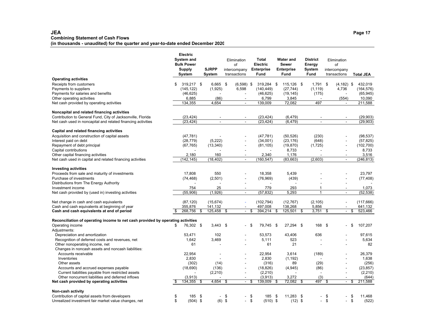#### **JEA Page 17 Combining Statement of Cash Flows (in thousands - unaudited) for the quarter and year-to-date ended December 2020**

|                                                                                 | <b>Electric</b><br>System and<br><b>Bulk Power</b><br><b>Supply</b><br>System |     | <b>SJRPP</b><br>System   | Elimination<br>of<br>intercompany<br>transactions |     | <b>Total</b><br>Electric<br><b>Enterprise</b><br>Fund | <b>Water and</b><br><b>Sewer</b><br><b>Enterprise</b><br><b>Fund</b> |    | <b>District</b><br>Energy<br>System<br><b>Fund</b> |    | Elimination<br>of<br>intercompany<br>transactions |    | <b>Total JEA</b> |
|---------------------------------------------------------------------------------|-------------------------------------------------------------------------------|-----|--------------------------|---------------------------------------------------|-----|-------------------------------------------------------|----------------------------------------------------------------------|----|----------------------------------------------------|----|---------------------------------------------------|----|------------------|
| <b>Operating activities</b>                                                     |                                                                               |     |                          |                                                   |     |                                                       |                                                                      |    |                                                    |    |                                                   |    |                  |
| Receipts from customers                                                         | \$<br>319,217 \$                                                              |     | $6,665$ \$               | $(6,598)$ \$                                      |     | 319,284                                               | \$<br>115,126 \$                                                     |    | $1,791$ \$                                         |    | $(4, 182)$ \$                                     |    | 432,019          |
| Payments to suppliers                                                           | (145, 122)                                                                    |     | (1,925)                  | 6,598                                             |     | (140, 449)                                            | (27, 744)                                                            |    | (1, 119)                                           |    | 4,736                                             |    | (164, 576)       |
| Payments for salaries and benefits                                              | (46, 625)                                                                     |     | $\overline{\phantom{a}}$ |                                                   |     | (46, 625)                                             | (19, 145)                                                            |    | (175)                                              |    | $\overline{a}$                                    |    | (65, 945)        |
| Other operating activities                                                      | 6,885                                                                         |     | (86)                     | $\blacksquare$                                    |     | 6,799                                                 | 3,845                                                                |    |                                                    |    | (554)                                             |    | 10,090           |
| Net cash provided by operating activities                                       | 134,355                                                                       |     | 4,654                    | $\overline{a}$                                    |     | 139,009                                               | 72,082                                                               |    | 497                                                |    |                                                   |    | 211,588          |
| Noncapital and related financing activities                                     |                                                                               |     |                          |                                                   |     |                                                       |                                                                      |    |                                                    |    |                                                   |    |                  |
| Contribution to General Fund, City of Jacksonville, Florida                     | (23, 424)                                                                     |     |                          |                                                   |     | (23, 424)                                             | (6, 479)                                                             |    |                                                    |    |                                                   |    | (29,903)         |
| Net cash used in noncapital and related financing activities                    | (23.424)                                                                      |     | $\blacksquare$           | $\blacksquare$                                    |     | (23.424)                                              | (6, 479)                                                             |    | $\sim$                                             |    | $\blacksquare$                                    |    | (29, 903)        |
| Capital and related financing activities                                        |                                                                               |     |                          |                                                   |     |                                                       |                                                                      |    |                                                    |    |                                                   |    |                  |
| Acquisition and construction of capital assets                                  | (47, 781)                                                                     |     |                          |                                                   |     | (47, 781)                                             | (50, 526)                                                            |    | (230)                                              |    |                                                   |    | (98, 537)        |
| Interest paid on debt                                                           | (28, 779)                                                                     |     | (5,222)                  |                                                   |     | (34,001)                                              | (23, 176)                                                            |    | (648)                                              |    |                                                   |    | (57, 825)        |
| Repayment of debt principal                                                     | (67, 765)                                                                     |     | (13, 340)                |                                                   |     | (81, 105)                                             | (19, 870)                                                            |    | (1,725)                                            |    |                                                   |    | (102, 700)       |
| Capital contributions                                                           |                                                                               |     |                          |                                                   |     |                                                       | 8,733                                                                |    |                                                    |    | $\overline{\phantom{a}}$                          |    | 8,733            |
| Other capital financing activities                                              | 2,180                                                                         |     | 160                      | $\blacksquare$                                    |     | 2,340                                                 | 1,176                                                                |    |                                                    |    | $\overline{\phantom{a}}$                          |    | 3,516            |
| Net cash used in capital and related financing activities                       | (142,145)                                                                     |     | (18, 402)                | $\blacksquare$                                    |     | (160, 547)                                            | (83, 663)                                                            |    | (2,603)                                            |    | $\blacksquare$                                    |    | (246, 813)       |
| <b>Investing activities</b>                                                     |                                                                               |     |                          |                                                   |     |                                                       |                                                                      |    |                                                    |    |                                                   |    |                  |
| Proceeds from sale and maturity of investments                                  | 17,808                                                                        |     | 550                      |                                                   |     | 18,358                                                | 5,439                                                                |    |                                                    |    |                                                   |    | 23,797           |
| Purchase of investments                                                         | (74, 468)                                                                     |     | (2,501)                  | L,                                                |     | (76,969)                                              | (439)                                                                |    |                                                    |    |                                                   |    | (77, 408)        |
| Distributions from The Energy Authority                                         |                                                                               |     |                          |                                                   |     |                                                       |                                                                      |    |                                                    |    |                                                   |    |                  |
| Investment income                                                               | 754                                                                           |     | 25                       |                                                   |     | 779                                                   | 293                                                                  |    | 1                                                  |    | $\blacksquare$                                    |    | 1,073            |
| Net cash provided by (used in) investing activities                             | (55,906)                                                                      |     | (1,926)                  | $\overline{\phantom{a}}$                          |     | (57, 832)                                             | 5,293                                                                |    | 1                                                  |    | $\sim$                                            |    | (52, 538)        |
| Net change in cash and cash equivalents                                         | (87, 120)                                                                     |     | (15, 674)                | ä,                                                |     | (102, 794)                                            | (12,767)                                                             |    | (2, 105)                                           |    | $\overline{\phantom{a}}$                          |    | (117, 666)       |
| Cash and cash equivalents at beginning of year                                  | 355,876                                                                       |     | 141,132                  |                                                   |     | 497,008                                               | 138,268                                                              |    | 5,856                                              |    |                                                   |    | 641,132          |
| Cash and cash equivalents at end of period                                      | \$<br>268,756                                                                 | \$  | 125,458                  | \$<br>$\blacksquare$                              | \$  | 394,214                                               | 125,501                                                              | \$ | 3,751                                              | \$ | $\blacksquare$                                    | \$ | 523,466          |
| Reconciliation of operating income to net cash provided by operating activities |                                                                               |     |                          |                                                   |     |                                                       |                                                                      |    |                                                    |    |                                                   |    |                  |
| Operating income<br>Adjustments:                                                | \$<br>76,302 \$                                                               |     | 3,443                    | \$                                                | -\$ | 79,745 \$                                             | 27,294 \$                                                            |    | 168                                                | \$ |                                                   | \$ | 107,207          |
| Depreciation and amortization                                                   | 53,471                                                                        |     | 102                      |                                                   |     | 53,573                                                | 43,406                                                               |    | 636                                                |    |                                                   |    | 97,615           |
| Recognition of deferred costs and revenues, net                                 | 1.642                                                                         |     | 3,469                    | L.                                                |     | 5.111                                                 | 523                                                                  |    |                                                    |    |                                                   |    | 5.634            |
| Other nonoperating income, net                                                  | 61                                                                            |     |                          |                                                   |     | 61                                                    | 21                                                                   |    |                                                    |    |                                                   |    | 82               |
| Changes in noncash assets and noncash liabilities:                              |                                                                               |     |                          |                                                   |     |                                                       |                                                                      |    |                                                    |    |                                                   |    |                  |
| Accounts receivable                                                             | 22,954                                                                        |     |                          |                                                   |     | 22,954                                                | 3,614                                                                |    | (189)                                              |    |                                                   |    | 26,379           |
| Inventories                                                                     | 2,830                                                                         |     |                          |                                                   |     | 2,830                                                 | (1, 192)                                                             |    |                                                    |    |                                                   |    | 1,638            |
| Other assets                                                                    | (302)                                                                         |     | (14)                     |                                                   |     | (316)                                                 | 89                                                                   |    | (29)                                               |    |                                                   |    | (256)            |
| Accounts and accrued expenses payable                                           | (18,690)                                                                      |     | (136)                    | L,                                                |     | (18, 826)                                             | (4,945)                                                              |    | (86)                                               |    | $\overline{\phantom{a}}$                          |    | (23, 857)        |
| Current liabilities payable from restricted assets                              |                                                                               |     | (2,210)                  |                                                   |     | (2, 210)                                              |                                                                      |    |                                                    |    |                                                   |    | (2, 210)         |
| Other noncurrent liabilities and deferred inflows                               | (3,913)                                                                       |     |                          |                                                   |     | (3,913)                                               | 3,272                                                                |    | (3)                                                |    |                                                   |    | (644)            |
| Net cash provided by operating activities                                       | 134,355                                                                       | S   | 4,654                    | \$<br>$\overline{\phantom{a}}$                    | S   | 139,009                                               | \$<br>72,082                                                         | S. | 497                                                | S  | $\overline{\phantom{a}}$                          | S  | 211,588          |
| Non-cash activity                                                               |                                                                               |     |                          |                                                   |     |                                                       |                                                                      |    |                                                    |    |                                                   |    |                  |
| Contribution of capital assets from developers                                  | \$<br>185                                                                     | -\$ | $\blacksquare$           | \$                                                | \$  | 185                                                   | \$<br>11,283 \$                                                      |    |                                                    | \$ |                                                   | \$ | 11,468           |
| Unrealized investment fair market value changes, net                            | \$<br>$(504)$ \$                                                              |     | (6)                      | \$<br>$\sim$                                      | \$  | $(510)$ \$                                            | $(12)$ \$                                                            |    | $\mathbf{r}$                                       | \$ | $\sim$                                            | \$ | (522)            |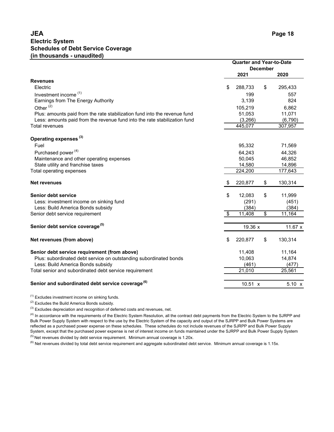# **JEA Electric System Schedules of Debt Service Coverage (in thousands - unaudited)**

|                                                                           | <b>Quarter and Year-to-Date</b><br><b>December</b> |                     |    |         |  |  |
|---------------------------------------------------------------------------|----------------------------------------------------|---------------------|----|---------|--|--|
|                                                                           |                                                    | 2021                |    | 2020    |  |  |
| <b>Revenues</b>                                                           |                                                    |                     |    |         |  |  |
| Electric                                                                  | \$                                                 | 288,733             | \$ | 295,433 |  |  |
| Investment income <sup>(1)</sup>                                          |                                                    | 199                 |    | 557     |  |  |
| Earnings from The Energy Authority                                        |                                                    | 3,139               |    | 824     |  |  |
| Other $(2)$                                                               |                                                    | 105,219             |    | 6,862   |  |  |
| Plus: amounts paid from the rate stabilization fund into the revenue fund |                                                    | 51,053              |    | 11,071  |  |  |
| Less: amounts paid from the revenue fund into the rate stabilization fund |                                                    | (3,266)             |    | (6,790) |  |  |
| <b>Total revenues</b>                                                     |                                                    | 445,077             |    | 307,957 |  |  |
| Operating expenses <sup>(3)</sup>                                         |                                                    |                     |    |         |  |  |
| Fuel                                                                      |                                                    | 95,332              |    | 71,569  |  |  |
| Purchased power <sup>(4)</sup>                                            |                                                    | 64,243              |    | 44,326  |  |  |
| Maintenance and other operating expenses                                  |                                                    | 50,045              |    | 46,852  |  |  |
| State utility and franchise taxes                                         |                                                    | 14,580              |    | 14,896  |  |  |
| Total operating expenses                                                  |                                                    | 224,200             |    | 177,643 |  |  |
| <b>Net revenues</b>                                                       | \$                                                 | 220,877             | \$ | 130,314 |  |  |
| Senior debt service                                                       | \$                                                 | 12,083              | \$ | 11,999  |  |  |
| Less: investment income on sinking fund                                   |                                                    | (291)               |    | (451)   |  |  |
| Less: Build America Bonds subsidy                                         |                                                    | (384)               |    | (384)   |  |  |
| Senior debt service requirement                                           | \$                                                 | 11,408              | \$ | 11,164  |  |  |
| Senior debt service coverage <sup>(5)</sup>                               |                                                    | 19.36 x             |    | 11.67 x |  |  |
| Net revenues (from above)                                                 | \$                                                 | 220,877             | \$ | 130,314 |  |  |
| Senior debt service requirement (from above)                              |                                                    | 11,408              |    | 11,164  |  |  |
| Plus: subordinated debt service on outstanding subordinated bonds         |                                                    | 10,063              |    | 14,874  |  |  |
| Less: Build America Bonds subsidy                                         |                                                    | (461)               |    | (477)   |  |  |
| Total senior and subordinated debt service requirement                    |                                                    | $\overline{2}1,010$ |    | 25,561  |  |  |
| Senior and subordinated debt service coverage <sup>(6)</sup>              |                                                    | 10.51 x             |    | 5.10 x  |  |  |

 $(1)$  Excludes investment income on sinking funds.

(2) Excludes the Build America Bonds subsidy.

 $(3)$  Excludes depreciation and recognition of deferred costs and revenues, net.

<sup>(4)</sup> In accordance with the requirements of the Electric System Resolution, all the contract debt payments from the Electric System to the SJRPP and Bulk Power Supply System with respect to the use by the Electric System of the capacity and output of the SJRPP and Bulk Power Systems are reflected as a purchased power expense on these schedules. These schedules do not include revenues of the SJRPP and Bulk Power Supply System, except that the purchased power expense is net of interest income on funds maintained under the SJRPP and Bulk Power Supply System

 $<sup>(5)</sup>$  Net revenues divided by debt service requirement. Minimum annual coverage is 1.20x.</sup>

 $^{(6)}$  Net revenues divided by total debt service requirement and aggregate subordinated debt service. Minimum annual coverage is 1.15x.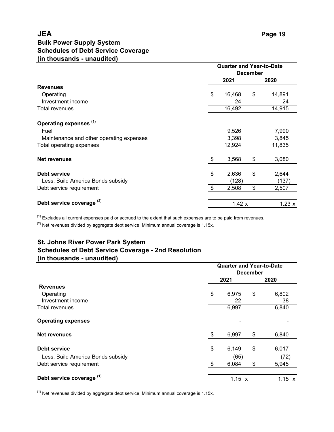# **JEA Bulk Power Supply System Schedules of Debt Service Coverage (in thousands - unaudited)**

|                                          |                 | <b>Quarter and Year-to-Date</b> |    |        |  |  |  |  |  |  |
|------------------------------------------|-----------------|---------------------------------|----|--------|--|--|--|--|--|--|
|                                          | <b>December</b> |                                 |    |        |  |  |  |  |  |  |
|                                          |                 | 2021                            |    | 2020   |  |  |  |  |  |  |
| <b>Revenues</b>                          |                 |                                 |    |        |  |  |  |  |  |  |
| Operating                                | \$              | 16,468                          | \$ | 14,891 |  |  |  |  |  |  |
| Investment income                        |                 | 24                              |    | 24     |  |  |  |  |  |  |
| Total revenues                           |                 | 16,492                          |    | 14,915 |  |  |  |  |  |  |
| Operating expenses <sup>(1)</sup>        |                 |                                 |    |        |  |  |  |  |  |  |
| Fuel                                     |                 | 9,526                           |    | 7,990  |  |  |  |  |  |  |
| Maintenance and other operating expenses |                 | 3,398                           |    | 3,845  |  |  |  |  |  |  |
| Total operating expenses                 |                 | 12,924                          |    | 11,835 |  |  |  |  |  |  |
| <b>Net revenues</b>                      | \$              | 3,568                           | \$ | 3,080  |  |  |  |  |  |  |
| Debt service                             | \$              | 2,636                           | \$ | 2,644  |  |  |  |  |  |  |
| Less: Build America Bonds subsidy        |                 | (128)                           |    | (137)  |  |  |  |  |  |  |
| Debt service requirement                 | \$              | 2,508                           | \$ | 2,507  |  |  |  |  |  |  |
| Debt service coverage <sup>(2)</sup>     |                 | 1.42 x                          |    | 1.23 x |  |  |  |  |  |  |

 $<sup>(1)</sup>$  Excludes all current expenses paid or accrued to the extent that such expenses are to be paid from revenues.</sup>

 $(2)$  Net revenues divided by aggregate debt service. Minimum annual coverage is 1.15x.

# **St. Johns River Power Park System Schedules of Debt Service Coverage - 2nd Resolution (in thousands - unaudited)**

|                                   |      | <b>Quarter and Year-to-Date</b> |                 |               |  |  |  |  |  |
|-----------------------------------|------|---------------------------------|-----------------|---------------|--|--|--|--|--|
|                                   |      |                                 | <b>December</b> |               |  |  |  |  |  |
|                                   | 2021 |                                 | 2020            |               |  |  |  |  |  |
| <b>Revenues</b>                   |      |                                 |                 |               |  |  |  |  |  |
| Operating                         | \$   | 6,975                           | \$              | 6,802         |  |  |  |  |  |
| Investment income                 |      | 22                              |                 | 38            |  |  |  |  |  |
| <b>Total revenues</b>             |      | 6,997                           |                 | 6,840         |  |  |  |  |  |
| <b>Operating expenses</b>         |      |                                 |                 |               |  |  |  |  |  |
| Net revenues                      | \$   | 6,997                           | \$              | 6,840         |  |  |  |  |  |
| Debt service                      | \$   | 6,149                           | \$              | 6,017         |  |  |  |  |  |
| Less: Build America Bonds subsidy |      | (65)                            |                 | (72)          |  |  |  |  |  |
| Debt service requirement          | \$   | 6,084                           | \$              | 5,945         |  |  |  |  |  |
| Debt service coverage (1)         |      | 1.15 x                          |                 | $1.15 \times$ |  |  |  |  |  |

 $<sup>(1)</sup>$  Net revenues divided by aggregate debt service. Minimum annual coverage is 1.15x.</sup>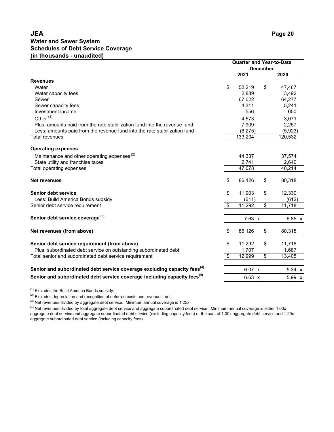# **JEA Water and Sewer System (in thousands - unaudited) Schedules of Debt Service Coverage**

|                                                                                      | <b>Quarter and Year-to-Date</b><br><b>December</b> |                         |               |
|--------------------------------------------------------------------------------------|----------------------------------------------------|-------------------------|---------------|
|                                                                                      | 2021                                               |                         | 2020          |
| <b>Revenues</b>                                                                      |                                                    |                         |               |
| Water                                                                                | \$<br>52,219                                       | \$                      | 47,467        |
| Water capacity fees                                                                  | 2,889                                              |                         | 3,492         |
| Sewer                                                                                | 67,022                                             |                         | 64,277        |
| Sewer capacity fees                                                                  | 4,311                                              |                         | 5,241         |
| Investment income                                                                    | 556                                                |                         | 650           |
| Other <sup>(1)</sup>                                                                 | 4,573                                              |                         | 3,071         |
| Plus: amounts paid from the rate stabilization fund into the revenue fund            | 7,909                                              |                         | 2,257         |
| Less: amounts paid from the revenue fund into the rate stabilization fund            | (6, 275)                                           |                         | (5,923)       |
| <b>Total revenues</b>                                                                | 133,204                                            |                         | 120,532       |
| <b>Operating expenses</b>                                                            |                                                    |                         |               |
| Maintenance and other operating expenses <sup>(2)</sup>                              | 44,337                                             |                         | 37,574        |
| State utility and franchise taxes                                                    | 2,741                                              |                         | 2,640         |
| Total operating expenses                                                             | 47,078                                             |                         | 40,214        |
| <b>Net revenues</b>                                                                  | \$<br>86,126                                       | \$                      | 80,318        |
| <b>Senior debt service</b>                                                           | \$<br>11,903                                       | \$                      | 12,330        |
| Less: Build America Bonds subsidy                                                    | (611)                                              |                         | (612)         |
| Senior debt service requirement                                                      | \$<br>11,292                                       | \$                      | 11,718        |
| Senior debt service coverage <sup>(3)</sup>                                          | 7.63 x                                             |                         | $6.85 \times$ |
| Net revenues (from above)                                                            | \$<br>86,126                                       | \$                      | 80,318        |
| Senior debt service requirement (from above)                                         | \$<br>11,292                                       | \$                      | 11,718        |
| Plus: subordinated debt service on outstanding subordinated debt                     | 1,707                                              |                         | 1,687         |
| Total senior and subordinated debt service requirement                               | \$<br>12,999                                       | $\overline{\mathbf{S}}$ | 13,405        |
| Senior and subordinated debt service coverage excluding capacity fees <sup>(4)</sup> | 6.07 x                                             |                         | 5.34 x        |
| Senior and subordinated debt service coverage including capacity fees <sup>(4)</sup> |                                                    |                         |               |
|                                                                                      | 6.63 x                                             |                         | 5.99 x        |

 $(1)$  Excludes the Build America Bonds subsidy.

<sup>(2)</sup> Excludes depreciation and recognition of deferred costs and revenues, net.

 $^{(3)}$  Net revenues divided by aggregate debt service. Minimum annual coverage is 1.25x.

 $^{(4)}$  Net revenues divided by total aggregate debt service and aggregate subordinated debt service. Minimum annual coverage is either 1.00x aggregate debt service and aggregate subordinated debt service (excluding capacity fees) or the sum of 1.00x aggregate debt service and 1.20x aggregate subordinated debt service (including capacity fees).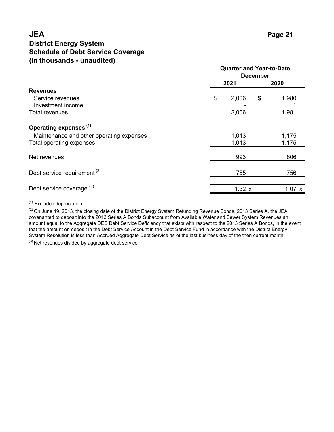# **JEA District Energy System (in thousands - unaudited) Schedule of Debt Service Coverage**

|                                                                               | <b>Quarter and Year-to-Date</b><br><b>December</b> |        |    |        |  |
|-------------------------------------------------------------------------------|----------------------------------------------------|--------|----|--------|--|
|                                                                               |                                                    | 2021   |    | 2020   |  |
| <b>Revenues</b><br>Service revenues                                           | \$                                                 | 2,006  | \$ | 1,980  |  |
| Investment income<br><b>Total revenues</b>                                    |                                                    | 2,006  |    | 1,981  |  |
| Operating expenses <sup>(1)</sup><br>Maintenance and other operating expenses |                                                    | 1,013  |    | 1,175  |  |
| Total operating expenses                                                      |                                                    | 1,013  |    | 1,175  |  |
| Net revenues                                                                  |                                                    | 993    |    | 806    |  |
| Debt service requirement <sup>(2)</sup>                                       |                                                    | 755    |    | 756    |  |
| Debt service coverage (3)                                                     |                                                    | 1.32 x |    | 1.07 x |  |

(1) Excludes depreciation.

 $(2)$  On June 19, 2013, the closing date of the District Energy System Refunding Revenue Bonds, 2013 Series A, the JEA covenanted to deposit into the 2013 Series A Bonds Subaccount from Available Water and Sewer System Revenues an amount equal to the Aggregate DES Debt Service Deficiency that exists with respect to the 2013 Series A Bonds, in the event that the amount on deposit in the Debt Service Account in the Debt Service Fund in accordance with the District Energy System Resolution is less than Accrued Aggregate Debt Service as of the last business day of the then current month.

 $(3)$  Net revenues divided by aggregate debt service.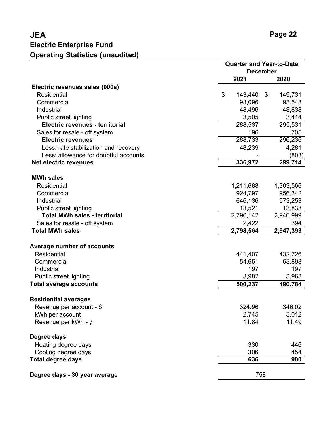|                                       | <b>Quarter and Year-to-Date</b><br><b>December</b> |               |  |
|---------------------------------------|----------------------------------------------------|---------------|--|
|                                       | 2021                                               | 2020          |  |
| Electric revenues sales (000s)        |                                                    |               |  |
| <b>Residential</b>                    | \$<br>143,440                                      | 149,731<br>\$ |  |
| Commercial                            | 93,096                                             | 93,548        |  |
| Industrial                            | 48,496                                             | 48,838        |  |
| Public street lighting                | 3,505                                              | 3,414         |  |
| Electric revenues - territorial       | 288,537                                            | 295,531       |  |
| Sales for resale - off system         | 196                                                | 705           |  |
| <b>Electric revenues</b>              | 288,733                                            | 296,236       |  |
| Less: rate stabilization and recovery | 48,239                                             | 4,281         |  |
| Less: allowance for doubtful accounts |                                                    | (803)         |  |
| <b>Net electric revenues</b>          | 336,972                                            | 299,714       |  |
|                                       |                                                    |               |  |
| <b>MWh sales</b>                      |                                                    |               |  |
| <b>Residential</b>                    | 1,211,688                                          | 1,303,566     |  |
| Commercial                            | 924,797                                            | 956,342       |  |
| Industrial                            | 646,136                                            | 673,253       |  |
| Public street lighting                | 13,521                                             | 13,838        |  |
| <b>Total MWh sales - territorial</b>  | 2,796,142                                          | 2,946,999     |  |
| Sales for resale - off system         | 2,422                                              | 394           |  |
| <b>Total MWh sales</b>                | 2,798,564                                          | 2,947,393     |  |
| Average number of accounts            |                                                    |               |  |
| <b>Residential</b>                    | 441,407                                            | 432,726       |  |
| Commercial                            | 54,651                                             | 53,898        |  |
| Industrial                            | 197                                                | 197           |  |
| Public street lighting                | 3,982                                              | 3,963         |  |
| <b>Total average accounts</b>         | 500,237                                            | 490,784       |  |
| <b>Residential averages</b>           |                                                    |               |  |
|                                       | 324.96                                             | 346.02        |  |
| Revenue per account - \$              | 2,745                                              | 3,012         |  |
| kWh per account                       | 11.84                                              | 11.49         |  |
| Revenue per kWh - $\phi$              |                                                    |               |  |
| Degree days                           |                                                    |               |  |
| Heating degree days                   | 330                                                | 446           |  |
| Cooling degree days                   | 306                                                | 454           |  |
| <b>Total degree days</b>              | 636                                                | 900           |  |
| Degree days - 30 year average         | 758                                                |               |  |